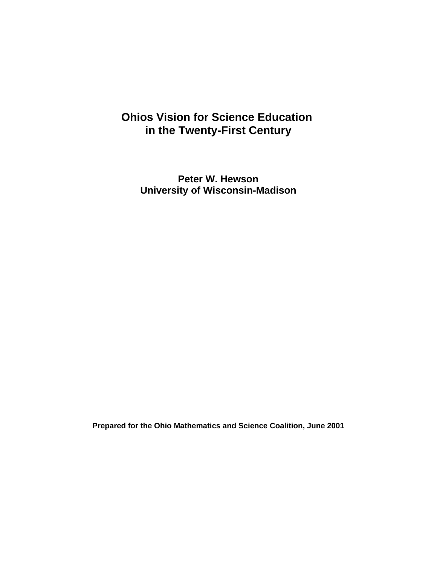# **OhioÕs Vision for Science Education in the Twenty-First Century**

**Peter W. Hewson University of Wisconsin-Madison**

**Prepared for the Ohio Mathematics and Science Coalition, June 2001**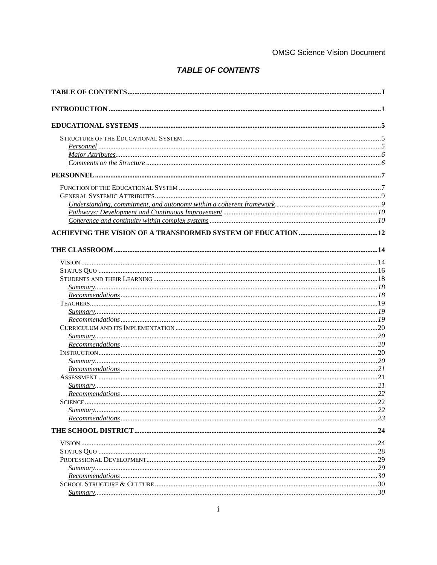## **OMSC Science Vision Document**

# **TABLE OF CONTENTS**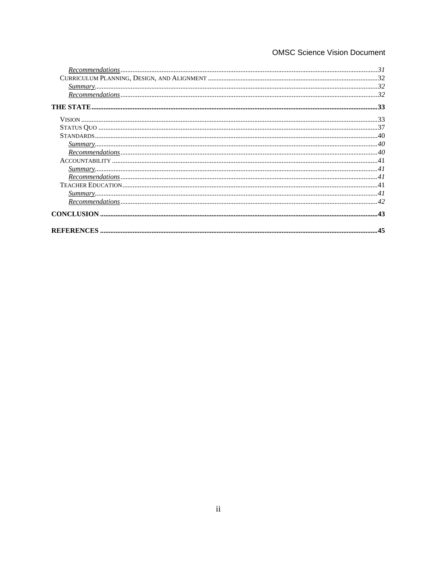# **OMSC Science Vision Document**

| $Summary$ |  |
|-----------|--|
|           |  |
|           |  |
|           |  |
|           |  |
|           |  |
|           |  |
|           |  |
|           |  |
|           |  |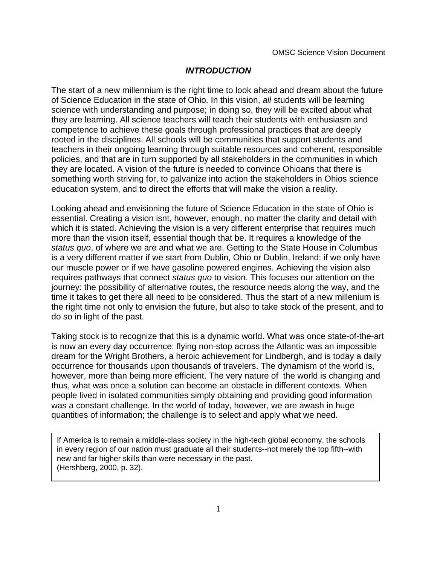# **INTRODUCTION**

The start of a new millennium is the right time to look ahead and dream about the future of Science Education in the state of Ohio. In this vision, all students will be learning science with understanding and purpose; in doing so, they will be excited about what they are learning. All science teachers will teach their students with enthusiasm and competence to achieve these goals through professional practices that are deeply rooted in the disciplines. All schools will be communities that support students and teachers in their ongoing learning through suitable resources and coherent, responsible policies, and that are in turn supported by all stakeholders in the communities in which they are located. A vision of the future is needed to convince Ohioans that there is something worth striving for, to galvanize into action the stakeholders in Ohio G science education system, and to direct the efforts that will make the vision a reality.

Looking ahead and envisioning the future of Science Education in the state of Ohio is essential. Creating a vision isn $\tilde{\Phi}$ , however, enough, no matter the clarity and detail with which it is stated. Achieving the vision is a very different enterprise that requires much more than the vision itself, essential though that be. It requires a knowledge of the status quo, of where we are and what we are. Getting to the State House in Columbus is a very different matter if we start from Dublin, Ohio or Dublin, Ireland; if we only have our muscle power or if we have gasoline powered engines. Achieving the vision also requires pathways that connect *status quo* to vision. This focuses our attention on the journey: the possibility of alternative routes, the resource needs along the way, and the time it takes to get there all need to be considered. Thus the start of a new millenium is the right time not only to envision the future, but also to take stock of the present, and to do so in light of the past.

Taking stock is to recognize that this is a dynamic world. What was once state-of-the-art is now an every day occurrence: flying non-stop across the Atlantic was an impossible dream for the Wright Brothers, a heroic achievement for Lindbergh, and is today a daily occurrence for thousands upon thousands of travelers. The dynamism of the world is, however, more than being more efficient. The very nature of the world is changing and thus, what was once a solution can become an obstacle in different contexts. When people lived in isolated communities simply obtaining and providing good information was a constant challenge. In the world of today, however, we are awash in huge quantities of information; the challenge is to select and apply what we need.

If America is to remain a middle-class society in the high-tech global economy, the schools in every region of our nation must graduate all their students--not merely the top fifth--with new and far higher skills than were necessary in the past. (Hershberg, 2000, p. 32).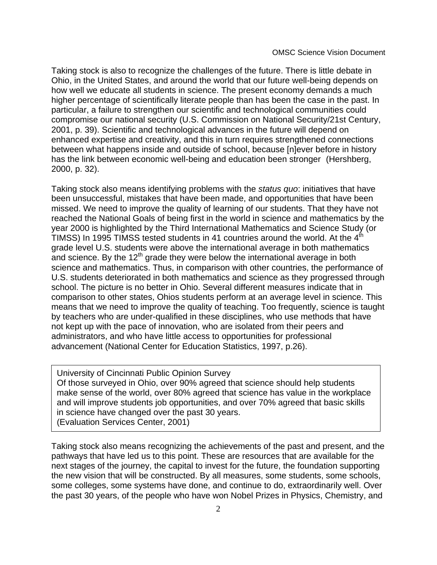Taking stock is also to recognize the challenges of the future. There is little debate in Ohio, in the United States, and around the world that our future well-being depends on how well we educate all students in science. The present economy demands a much higher percentage of scientifically literate people than has been the case in the past. In particular, a failure to strengthen our scientific and technological communities could compromise our national security (U.S. Commission on National Security/21st Century, 2001, p. 39). Scientific and technological advances in the future will depend on enhanced expertise and creativity, and this in turn requires strengthened connections between what happens inside and outside of school, because  $\hat{\phi}$  ever before in history has the link between economic well-being and education been strongerÓ (Hershberg, 2000, p. 32).

Taking stock also means identifying problems with the *status quo*: initiatives that have been unsuccessful, mistakes that have been made, and opportunities that have been missed. We need to improve the quality of learning of our students. That they have not reached the National Goals of being first in the world in science and mathematics by the year 2000 is highlighted by the Third International Mathematics and Science Study (or TIMSS) In 1995 TIMSS tested students in 41 countries around the world. At the  $4^{\text{th}}$ grade level U.S. students were above the international average in both mathematics and science. By the 12<sup>th</sup> grade they were below the international average in both science and mathematics. Thus, in comparison with other countries, the performance of U.S. students deteriorated in both mathematics and science as they progressed through school. The picture is no better in Ohio. Several different measures indicate that in comparison to other states, OhioÕs students perform at an average level in science. This means that we need to improve the quality of teaching. Too frequently, science is taught by teachers who are under-qualified in these disciplines, who use methods that have not kept up with the pace of innovation, who are isolated from their peers and administrators, and who have little access to opportunities for professional advancement (National Center for Education Statistics, 1997, p.26).

University of Cincinnati Public Opinion Survey Of those surveyed in Ohio, over 90% agreed that science should help students make sense of the world, over 80% agreed that science has value in the workplace and will improve students $\ddot{\text{Q}}$ ob opportunities, and over 70% agreed that basic skills in science have changed over the past 30 years. (Evaluation Services Center, 2001)

Taking stock also means recognizing the achievements of the past and present, and the pathways that have led us to this point. These are resources that are available for the next stages of the journey, the capital to invest for the future, the foundation supporting the new vision that will be constructed. By all measures, some students, some schools, some colleges, some systems have done, and continue to do, extraordinarily well. Over the past 30 years, of the people who have won Nobel Prizes in Physics, Chemistry, and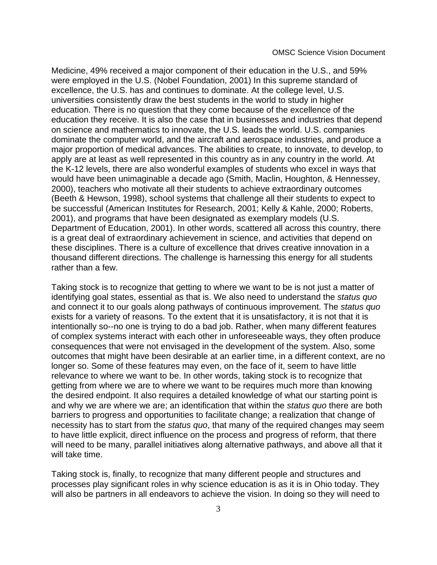Medicine, 49% received a major component of their education in the U.S., and 59% were employed in the U.S. (Nobel Foundation, 2001) In this supreme standard of excellence, the U.S. has and continues to dominate. At the college level, U.S. universities consistently draw the best students in the world to study in higher education. There is no question that they come because of the excellence of the education they receive. It is also the case that in businesses and industries that depend on science and mathematics to innovate, the U.S. leads the world. U.S. companies dominate the computer world, and the aircraft and aerospace industries, and produce a major proportion of medical advances. The abilities to create, to innovate, to develop, to apply are at least as well represented in this country as in any country in the world. At the K-12 levels, there are also wonderful examples of students who excel in ways that would have been unimaginable a decade ago (Smith, Maclin, Houghton, & Hennessey, 2000), teachers who motivate all their students to achieve extraordinary outcomes (Beeth & Hewson, 1998), school systems that challenge all their students to expect to be successful (American Institutes for Research, 2001; Kelly & Kahle, 2000; Roberts, 2001), and programs that have been designated as exemplary models (U.S. Department of Education, 2001). In other words, scattered all across this country, there is a great deal of extraordinary achievement in science, and activities that depend on these disciplines. There is a culture of excellence that drives creative innovation in a thousand different directions. The challenge is harnessing this energy for all students rather than a few.

Taking stock is to recognize that getting to where we want to be is not just a matter of identifying goal states, essential as that is. We also need to understand the status quo and connect it to our goals along pathways of continuous improvement. The status quo exists for a variety of reasons. To the extent that it is unsatisfactory, it is not that it is intentionally so--no one is trying to do a bad job. Rather, when many different features of complex systems interact with each other in unforeseeable ways, they often produce consequences that were not envisaged in the development of the system. Also, some outcomes that might have been desirable at an earlier time, in a different context, are no longer so. Some of these features may even, on the face of it, seem to have little relevance to where we want to be. In other words, taking stock is to recognize that getting from where we are to where we want to be requires much more than knowing the desired endpoint. It also requires a detailed knowledge of what our starting point is and why we are where we are; an identification that within the status quo there are both barriers to progress and opportunities to facilitate change; a realization that change of necessity has to start from the status quo, that many of the required changes may seem to have little explicit, direct influence on the process and progress of reform, that there will need to be many, parallel initiatives along alternative pathways, and above all that it will take time.

Taking stock is, finally, to recognize that many different people and structures and processes play significant roles in why science education is as it is in Ohio today. They will also be partners in all endeavors to achieve the vision. In doing so they will need to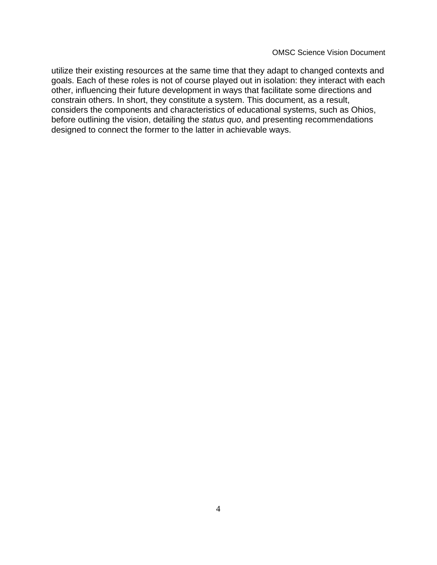utilize their existing resources at the same time that they adapt to changed contexts and goals. Each of these roles is not of course played out in isolation: they interact with each other, influencing their future development in ways that facilitate some directions and constrain others. In short, they constitute a system. This document, as a result, considers the components and characteristics of educational systems, such as OhioÕs, before outlining the vision, detailing the status quo, and presenting recommendations designed to connect the former to the latter in achievable ways.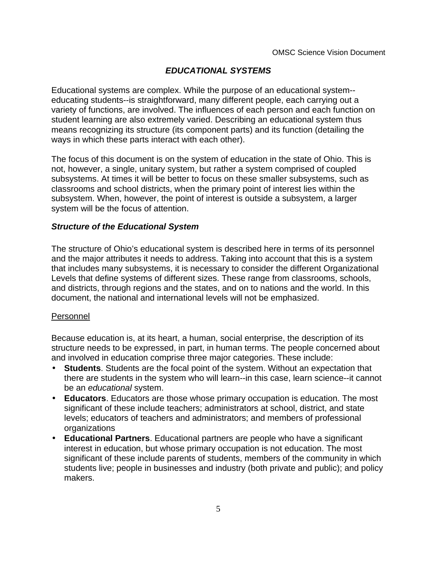# **EDUCATIONAL SYSTEMS**

Educational systems are complex. While the purpose of an educational system- educating students--is straightforward, many different people, each carrying out a variety of functions, are involved. The influences of each person and each function on student learning are also extremely varied. Describing an educational system thus means recognizing its structure (its component parts) and its function (detailing the ways in which these parts interact with each other).

The focus of this document is on the system of education in the state of Ohio. This is not, however, a single, unitary system, but rather a system comprised of coupled subsystems. At times it will be better to focus on these smaller subsystems, such as classrooms and school districts, when the primary point of interest lies within the subsystem. When, however, the point of interest is outside a subsystem, a larger system will be the focus of attention.

#### **Structure of the Educational System**

The structure of Ohio's educational system is described here in terms of its personnel and the major attributes it needs to address. Taking into account that this is a system that includes many subsystems, it is necessary to consider the different Organizational Levels that define systems of different sizes. These range from classrooms, schools, and districts, through regions and the states, and on to nations and the world. In this document, the national and international levels will not be emphasized.

#### Personnel

Because education is, at its heart, a human, social enterprise, the description of its structure needs to be expressed, in part, in human terms. The people concerned about and involved in education comprise three major categories. These include:

- • **Students**. Students are the focal point of the system. Without an expectation that there are students in the system who will learn--in this case, learn science--it cannot be an educational system.
- **Educators**. Educators are those whose primary occupation is education. The most significant of these include teachers; administrators at school, district, and state levels; educators of teachers and administrators; and members of professional organizations
- **Educational Partners**. Educational partners are people who have a significant interest in education, but whose primary occupation is not education. The most significant of these include parents of students, members of the community in which students live; people in businesses and industry (both private and public); and policy makers.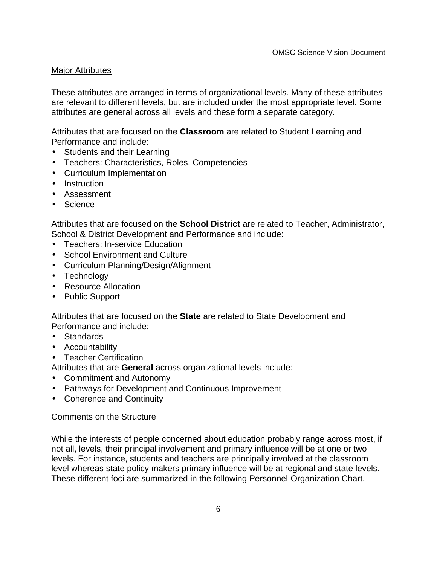## Major Attributes

These attributes are arranged in terms of organizational levels. Many of these attributes are relevant to different levels, but are included under the most appropriate level. Some attributes are general across all levels and these form a separate category.

Attributes that are focused on the **Classroom** are related to Student Learning and Performance and include:

- Students and their Learning
- Teachers: Characteristics, Roles, Competencies
- Curriculum Implementation
- Instruction
- Assessment
- Science

Attributes that are focused on the **School District** are related to Teacher, Administrator, School & District Development and Performance and include:

- Teachers: In-service Education
- School Environment and Culture
- Curriculum Planning/Design/Alignment
- Technology
- Resource Allocation
- Public Support

Attributes that are focused on the **State** are related to State Development and Performance and include:

- Standards
- Accountability
- Teacher Certification

Attributes that are **General** across organizational levels include:

- Commitment and Autonomy
- Pathways for Development and Continuous Improvement
- Coherence and Continuity

#### Comments on the Structure

While the interests of people concerned about education probably range across most, if not all, levels, their principal involvement and primary influence will be at one or two levels. For instance, students and teachers are principally involved at the classroom level whereas state policy makersÕ primary influence will be at regional and state levels. These different foci are summarized in the following Personnel-Organization Chart.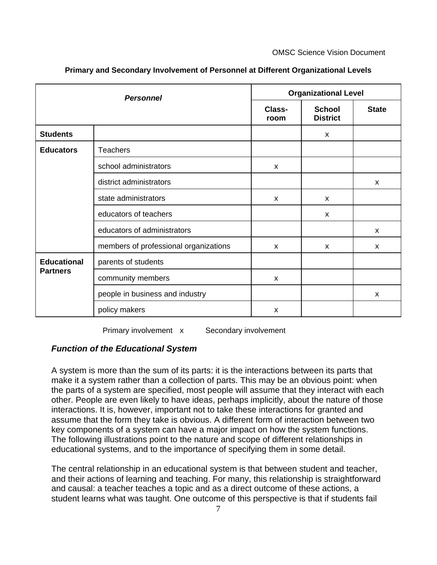| <b>Personnel</b>                      |                                       | <b>Organizational Level</b> |                                  |              |
|---------------------------------------|---------------------------------------|-----------------------------|----------------------------------|--------------|
|                                       |                                       | Class-<br>room              | <b>School</b><br><b>District</b> | <b>State</b> |
| <b>Students</b>                       |                                       |                             | $\mathsf{x}$                     |              |
| <b>Educators</b>                      | <b>Teachers</b>                       |                             |                                  |              |
|                                       | school administrators                 | $\mathsf{x}$                |                                  |              |
|                                       | district administrators               |                             |                                  | X            |
|                                       | state administrators                  | $\boldsymbol{\mathsf{x}}$   | $\mathsf{x}$                     |              |
|                                       | educators of teachers                 |                             | $\mathsf{x}$                     |              |
|                                       | educators of administrators           |                             |                                  | X            |
|                                       | members of professional organizations | X                           | X                                | X            |
| <b>Educational</b><br><b>Partners</b> | parents of students                   |                             |                                  |              |
|                                       | community members                     | X                           |                                  |              |
|                                       | people in business and industry       |                             |                                  | X            |
|                                       | policy makers                         | X                           |                                  |              |

**Primary and Secondary Involvement of Personnel at Different Organizational Levels**

Primary involvement x Secondary involvement

#### **Function of the Educational System**

A system is more than the sum of its parts: it is the interactions between its parts that make it a system rather than a collection of parts. This may be an obvious point: when the parts of a system are specified, most people will assume that they interact with each other. People are even likely to have ideas, perhaps implicitly, about the nature of those interactions. It is, however, important not to take these interactions for granted and assume that the form they take is obvious. A different form of interaction between two key components of a system can have a major impact on how the system functions. The following illustrations point to the nature and scope of different relationships in educational systems, and to the importance of specifying them in some detail.

The central relationship in an educational system is that between student and teacher, and their actions of learning and teaching. For many, this relationship is straightforward and causal: a teacher teaches a topic and as a direct outcome of these actions, a student learns what was taught. One outcome of this perspective is that if students fail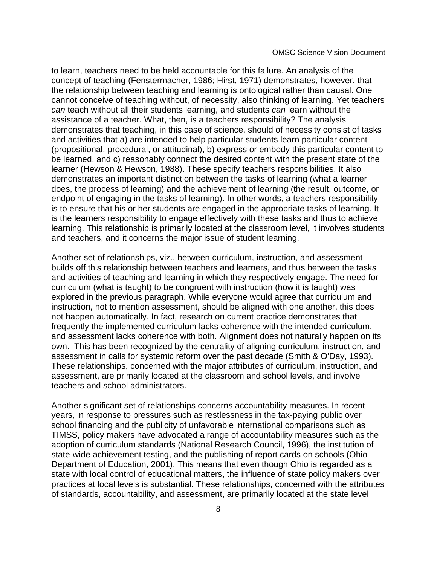OMSC Science Vision Document

to learn, teachers need to be held accountable for this failure. An analysis of the concept of teaching (Fenstermacher, 1986; Hirst, 1971) demonstrates, however, that the relationship between teaching and learning is ontological rather than causal. One cannot conceive of teaching without, of necessity, also thinking of learning. Yet teachers can teach without all their students learning, and students can learn without the assistance of a teacher. What, then, is a teacher G responsibility? The analysis demonstrates that teaching, in this case of science, should of necessity consist of tasks and activities that a) are intended to help particular students learn particular content (propositional, procedural, or attitudinal), b) express or embody this particular content to be learned, and c) reasonably connect the desired content with the present state of the learner (Hewson & Hewson, 1988). These specify teachers Oresponsibilities. It also demonstrates an important distinction between the tasks of learning (what a learner does, the process of learning) and the achievement of learning (the result, outcome, or endpoint of engaging in the tasks of learning). In other words, a teacher **G** responsibility is to ensure that his or her students are engaged in the appropriate tasks of learning. It is the learners $\tilde{O}$  responsibility to engage effectively with these tasks and thus to achieve learning. This relationship is primarily located at the classroom level, it involves students and teachers, and it concerns the major issue of student learning.

Another set of relationships, viz., between curriculum, instruction, and assessment builds off this relationship between teachers and learners, and thus between the tasks and activities of teaching and learning in which they respectively engage. The need for curriculum (what is taught) to be congruent with instruction (how it is taught) was explored in the previous paragraph. While everyone would agree that curriculum and instruction, not to mention assessment, should be aligned with one another, this does not happen automatically. In fact, research on current practice demonstrates that frequently the implemented curriculum lacks coherence with the intended curriculum, and assessment lacks coherence with both. Alignment does not naturally happen on its own. This has been recognized by the centrality of aligning curriculum, instruction, and assessment in calls for systemic reform over the past decade (Smith & O'Day, 1993). These relationships, concerned with the major attributes of curriculum, instruction, and assessment, are primarily located at the classroom and school levels, and involve teachers and school administrators.

Another significant set of relationships concerns accountability measures. In recent years, in response to pressures such as restlessness in the tax-paying public over school financing and the publicity of unfavorable international comparisons such as TIMSS, policy makers have advocated a range of accountability measures such as the adoption of curriculum standards (National Research Council, 1996), the institution of state-wide achievement testing, and the publishing of report cards on schools (Ohio Department of Education, 2001). This means that even though Ohio is regarded as a state with local control of educational matters, the influence of state policy makers over practices at local levels is substantial. These relationships, concerned with the attributes of standards, accountability, and assessment, are primarily located at the state level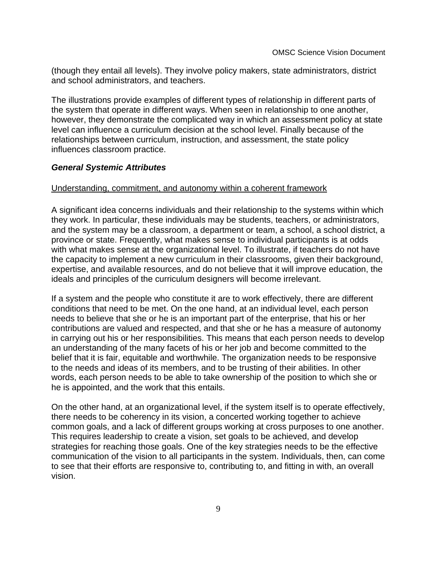(though they entail all levels). They involve policy makers, state administrators, district and school administrators, and teachers.

The illustrations provide examples of different types of relationship in different parts of the system that operate in different ways. When seen in relationship to one another, however, they demonstrate the complicated way in which an assessment policy at state level can influence a curriculum decision at the school level. Finally because of the relationships between curriculum, instruction, and assessment, the state policy influences classroom practice.

#### **General Systemic Attributes**

#### Understanding, commitment, and autonomy within a coherent framework

A significant idea concerns individuals and their relationship to the systems within which they work. In particular, these individuals may be students, teachers, or administrators, and the system may be a classroom, a department or team, a school, a school district, a province or state. Frequently, what makes sense to individual participants is at odds with what makes sense at the organizational level. To illustrate, if teachers do not have the capacity to implement a new curriculum in their classrooms, given their background, expertise, and available resources, and do not believe that it will improve education, the ideals and principles of the curriculum designers will become irrelevant.

If a system and the people who constitute it are to work effectively, there are different conditions that need to be met. On the one hand, at an individual level, each person needs to believe that she or he is an important part of the enterprise, that his or her contributions are valued and respected, and that she or he has a measure of autonomy in carrying out his or her responsibilities. This means that each person needs to develop an understanding of the many facets of his or her job and become committed to the belief that it is fair, equitable and worthwhile. The organization needs to be responsive to the needs and ideas of its members, and to be trusting of their abilities. In other words, each person needs to be able to take ownership of the position to which she or he is appointed, and the work that this entails.

On the other hand, at an organizational level, if the system itself is to operate effectively, there needs to be coherency in its vision, a concerted working together to achieve common goals, and a lack of different groups working at cross purposes to one another. This requires leadership to create a vision, set goals to be achieved, and develop strategies for reaching those goals. One of the key strategies needs to be the effective communication of the vision to all participants in the system. Individuals, then, can come to see that their efforts are responsive to, contributing to, and fitting in with, an overall vision.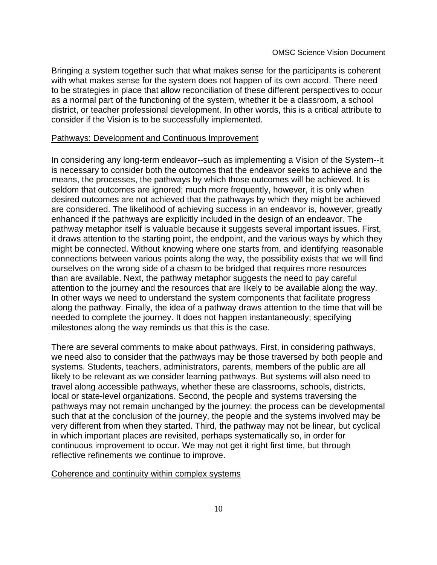Bringing a system together such that what makes sense for the participants is coherent with what makes sense for the system does not happen of its own accord. There need to be strategies in place that allow reconciliation of these different perspectives to occur as a normal part of the functioning of the system, whether it be a classroom, a school district, or teacher professional development. In other words, this is a critical attribute to consider if the Vision is to be successfully implemented.

#### Pathways: Development and Continuous Improvement

In considering any long-term endeavor--such as implementing a Vision of the System--it is necessary to consider both the outcomes that the endeavor seeks to achieve and the means, the processes, the pathways by which those outcomes will be achieved. It is seldom that outcomes are ignored; much more frequently, however, it is only when desired outcomes are not achieved that the pathways by which they might be achieved are considered. The likelihood of achieving success in an endeavor is, however, greatly enhanced if the pathways are explicitly included in the design of an endeavor. The pathway metaphor itself is valuable because it suggests several important issues. First, it draws attention to the starting point, the endpoint, and the various ways by which they might be connected. Without knowing where one starts from, and identifying reasonable connections between various points along the way, the possibility exists that we will find ourselves on the wrong side of a chasm to be bridged that requires more resources than are available. Next, the pathway metaphor suggests the need to pay careful attention to the journey and the resources that are likely to be available along the way. In other ways we need to understand the system components that facilitate progress along the pathway. Finally, the idea of a pathway draws attention to the time that will be needed to complete the journey. It does not happen instantaneously; specifying milestones along the way reminds us that this is the case.

There are several comments to make about pathways. First, in considering pathways, we need also to consider that the pathways may be those traversed by both people and systems. Students, teachers, administrators, parents, members of the public are all likely to be relevant as we consider learning pathways. But systems will also need to travel along accessible pathways, whether these are classrooms, schools, districts, local or state-level organizations. Second, the people and systems traversing the pathways may not remain unchanged by the journey: the process can be developmental such that at the conclusion of the journey, the people and the systems involved may be very different from when they started. Third, the pathway may not be linear, but cyclical in which important places are revisited, perhaps systematically so, in order for continuous improvement to occur. We may not get it right first time, but through reflective refinements we continue to improve.

#### Coherence and continuity within complex systems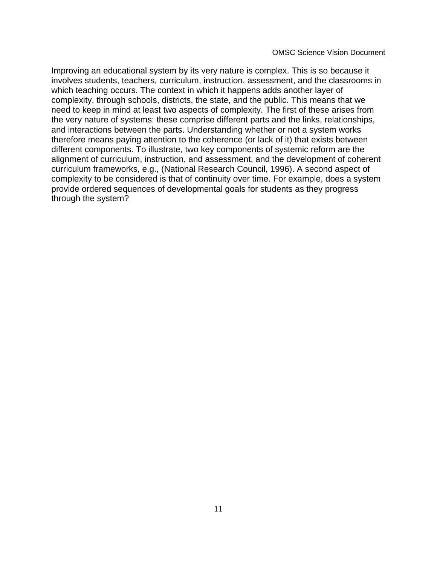OMSC Science Vision Document

Improving an educational system by its very nature is complex. This is so because it involves students, teachers, curriculum, instruction, assessment, and the classrooms in which teaching occurs. The context in which it happens adds another layer of complexity, through schools, districts, the state, and the public. This means that we need to keep in mind at least two aspects of complexity. The first of these arises from the very nature of systems: these comprise different parts and the links, relationships, and interactions between the parts. Understanding whether or not a system works therefore means paying attention to the coherence (or lack of it) that exists between different components. To illustrate, two key components of systemic reform are the alignment of curriculum, instruction, and assessment, and the development of coherent curriculum frameworks, e.g., (National Research Council, 1996). A second aspect of complexity to be considered is that of continuity over time. For example, does a system provide ordered sequences of developmental goals for students as they progress through the system?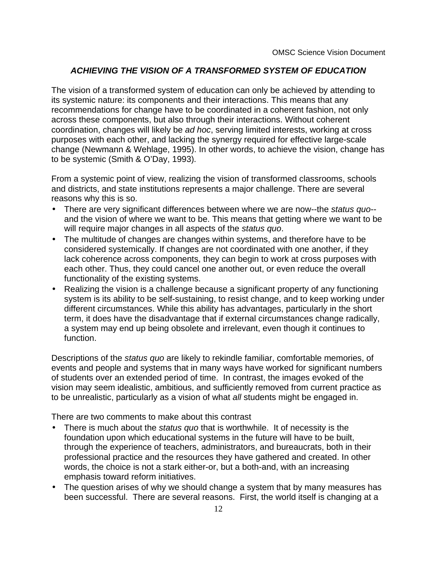# **ACHIEVING THE VISION OF A TRANSFORMED SYSTEM OF EDUCATION**

The vision of a transformed system of education can only be achieved by attending to its systemic nature: its components and their interactions. This means that any recommendations for change have to be coordinated in a coherent fashion, not only across these components, but also through their interactions. Without coherent coordination, changes will likely be ad hoc, serving limited interests, working at cross purposes with each other, and lacking the synergy required for effective large-scale change (Newmann & Wehlage, 1995). In other words, to achieve the vision, change has to be systemic (Smith & O'Day, 1993).

From a systemic point of view, realizing the vision of transformed classrooms, schools and districts, and state institutions represents a major challenge. There are several reasons why this is so.

- •There are very significant differences between where we are now--the status quo-and the vision of where we want to be. This means that getting where we want to be will require major changes in all aspects of the *status quo*.
- • The multitude of changes are changes within systems, and therefore have to be considered systemically. If changes are not coordinated with one another, if they lack coherence across components, they can begin to work at cross purposes with each other. Thus, they could cancel one another out, or even reduce the overall functionality of the existing systems.
- Realizing the vision is a challenge because a significant property of any functioning system is its ability to be self-sustaining, to resist change, and to keep working under different circumstances. While this ability has advantages, particularly in the short term, it does have the disadvantage that if external circumstances change radically, a system may end up being obsolete and irrelevant, even though it continues to function.

Descriptions of the status quo are likely to rekindle familiar, comfortable memories, of events and people and systems that in many ways have worked for significant numbers of students over an extended period of time. In contrast, the images evoked of the vision may seem idealistic, ambitious, and sufficiently removed from current practice as to be unrealistic, particularly as a vision of what all students might be engaged in.

There are two comments to make about this contrast

- •There is much about the *status quo* that is worthwhile. It of necessity is the foundation upon which educational systems in the future will have to be built, through the experience of teachers, administrators, and bureaucrats, both in their professional practice and the resources they have gathered and created. In other words, the choice is not a stark either-or, but a both-and, with an increasing emphasis toward reform initiatives.
- The question arises of why we should change a system that by many measures has been successful. There are several reasons. First, the world itself is changing at a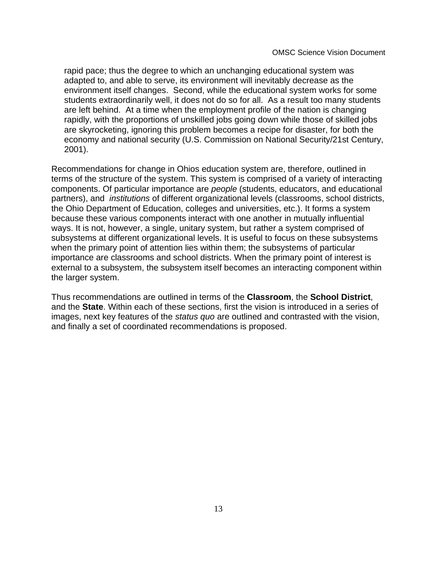rapid pace; thus the degree to which an unchanging educational system was adapted to, and able to serve, its environment will inevitably decrease as the environment itself changes. Second, while the educational system works for some students extraordinarily well, it does not do so for all. As a result too many students are left behind. At a time when the employment profile of the nation is changing rapidly, with the proportions of unskilled jobs going down while those of skilled jobs are skyrocketing, ignoring this problem becomes a recipe for disaster, for both the economy and national security (U.S. Commission on National Security/21st Century, 2001).

Recommendations for change in OhioÕs education system are, therefore, outlined in terms of the structure of the system. This system is comprised of a variety of interacting components. Of particular importance are people (students, educators, and educational partners), and institutions of different organizational levels (classrooms, school districts, the Ohio Department of Education, colleges and universities, etc.). It forms a system because these various components interact with one another in mutually influential ways. It is not, however, a single, unitary system, but rather a system comprised of subsystems at different organizational levels. It is useful to focus on these subsystems when the primary point of attention lies within them; the subsystems of particular importance are classrooms and school districts. When the primary point of interest is external to a subsystem, the subsystem itself becomes an interacting component within the larger system.

Thus recommendations are outlined in terms of the **Classroom**, the **School District**, and the **State**. Within each of these sections, first the vision is introduced in a series of images, next key features of the status quo are outlined and contrasted with the vision, and finally a set of coordinated recommendations is proposed.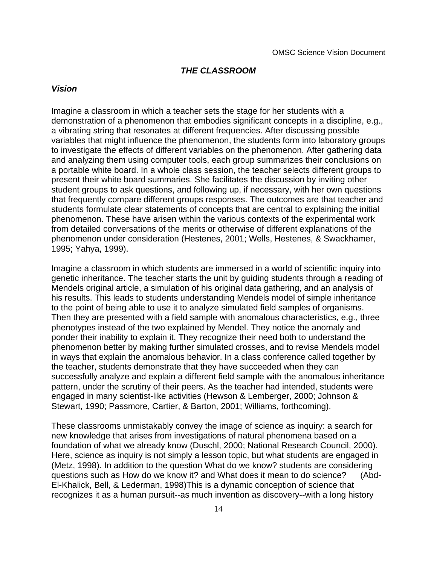#### **THE CLASSROOM**

#### **Vision**

Imagine a classroom in which a teacher sets the stage for her students with a demonstration of a phenomenon that embodies significant concepts in a discipline, e.g., a vibrating string that resonates at different frequencies. After discussing possible variables that might influence the phenomenon, the students form into laboratory groups to investigate the effects of different variables on the phenomenon. After gathering data and analyzing them using computer tools, each group summarizes their conclusions on a portable white board. In a whole class session, the teacher selects different groups to present their white board summaries. She facilitates the discussion by inviting other student groups to ask questions, and following up, if necessary, with her own questions that frequently compare different groups Oresponses. The outcomes are that teacher and students formulate clear statements of concepts that are central to explaining the initial phenomenon. These have arisen within the various contexts of the experimental work from detailed conversations of the merits or otherwise of different explanations of the phenomenon under consideration (Hestenes, 2001; Wells, Hestenes, & Swackhamer, 1995; Yahya, 1999).

Imagine a classroom in which students are immersed in a world of scientific inquiry into genetic inheritance. The teacher starts the unit by guiding students through a reading of Mendel G original article, a simulation of his original data gathering, and an analysis of his results. This leads to students understanding Mendel **G** model of simple inheritance to the point of being able to use it to analyze simulated field samples of organisms. Then they are presented with a field sample with anomalous characteristics, e.g., three phenotypes instead of the two explained by Mendel. They notice the anomaly and ponder their inability to explain it. They recognize their need both to understand the phenomenon better by making further simulated crosses, and to revise Mendel G model in ways that explain the anomalous behavior. In a class conference called together by the teacher, students demonstrate that they have succeeded when they can successfully analyze and explain a different field sample with the anomalous inheritance pattern, under the scrutiny of their peers. As the teacher had intended, students were engaged in many scientist-like activities (Hewson & Lemberger, 2000; Johnson & Stewart, 1990; Passmore, Cartier, & Barton, 2001; Williams, forthcoming).

These classrooms unmistakably convey the image of science as inquiry: a search for new knowledge that arises from investigations of natural phenomena based on a foundation of what we already know (Duschl, 2000; National Research Council, 2000). Here, science as inquiry is not simply a lesson topic, but what students are engaged in (Metz, 1998). In addition to the question  $\dot{Q}$ What do we know? $\dot{Q}$ students are considering questions such as  $\hat{\Theta}$ low do we know it?Ó and  $\hat{\Theta}$ What does it mean to do science?Ó (Abd-El-Khalick, Bell, & Lederman, 1998)This is a dynamic conception of science that recognizes it as a human pursuit--as much invention as discovery--with a long history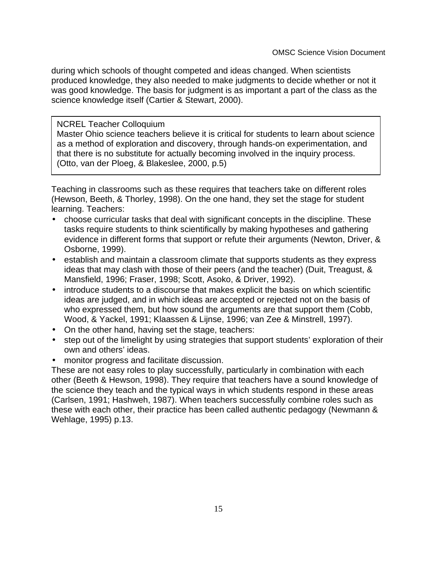during which schools of thought competed and ideas changed. When scientists produced knowledge, they also needed to make judgments to decide whether or not it was **Good C** knowledge. The basis for judgment is as important a part of the class as the science knowledge itself (Cartier & Stewart, 2000).

## NCREL Teacher Colloquium

Master Ohio science teachers believe it is critical for students to learn about science as a method of exploration and discovery, through hands-on experimentation, and that there is no substitute for actually becoming involved in the inquiry process. (Otto, van der Ploeg, & Blakeslee, 2000, p.5)

Teaching in classrooms such as these requires that teachers take on different roles (Hewson, Beeth, & Thorley, 1998). On the one hand, they set the stage for student learning. Teachers:

- choose curricular tasks that deal with significant concepts in the discipline. These tasks require students to think scientifically by making hypotheses and gathering evidence in different forms that support or refute their arguments (Newton, Driver, & Osborne, 1999).
- establish and maintain a classroom climate that supports students as they express ideas that may clash with those of their peers (and the teacher) (Duit, Treagust, & Mansfield, 1996; Fraser, 1998; Scott, Asoko, & Driver, 1992).
- introduce students to a discourse that makes explicit the basis on which scientific ideas are judged, and in which ideas are accepted or rejected not on the basis of who expressed them, but how sound the arguments are that support them (Cobb, Wood, & Yackel, 1991; Klaassen & Lijnse, 1996; van Zee & Minstrell, 1997).
- On the other hand, having set the stage, teachers:
- step out of the limelight by using strategies that support students' exploration of their own and others' ideas.
- monitor progress and facilitate discussion.

These are not easy roles to play successfully, particularly in combination with each other (Beeth & Hewson, 1998). They require that teachers have a sound knowledge of the science they teach and the typical ways in which students respond in these areas (Carlsen, 1991; Hashweh, 1987). When teachers successfully combine roles such as these with each other, their practice has been called authentic pedagogy (Newmann & Wehlage, 1995) p.13.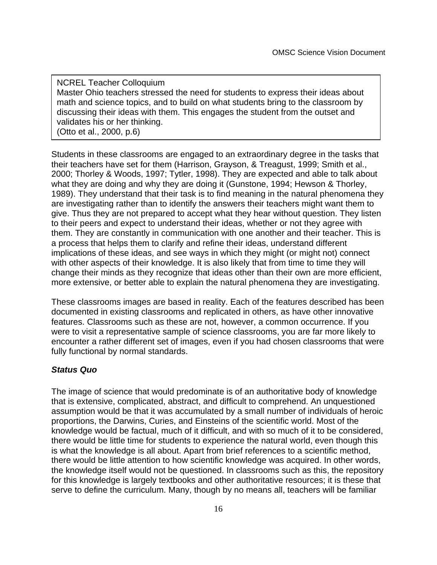NCREL Teacher Colloquium Master Ohio teachers stressed the need for students to express their ideas about math and science topics, and to build on what students bring to the classroom by discussing their ideas with them. This engages the student from the outset and validates his or her thinking. (Otto et al., 2000, p.6)

Students in these classrooms are engaged to an extraordinary degree in the tasks that their teachers have set for them (Harrison, Grayson, & Treagust, 1999; Smith et al., 2000; Thorley & Woods, 1997; Tytler, 1998). They are expected and able to talk about what they are doing and why they are doing it (Gunstone, 1994; Hewson & Thorley, 1989). They understand that their task is to find meaning in the natural phenomena they are investigating rather than to identify the answers their teachers might want them to give. Thus they are not prepared to accept what they hear without question. They listen to their peers and expect to understand their ideas, whether or not they agree with them. They are constantly in communication with one another and their teacher. This is a process that helps them to clarify and refine their ideas, understand different implications of these ideas, and see ways in which they might (or might not) connect with other aspects of their knowledge. It is also likely that from time to time they will change their minds as they recognize that ideas other than their own are more efficient, more extensive, or better able to explain the natural phenomena they are investigating.

These classrooms images are based in reality. Each of the features described has been documented in existing classrooms and replicated in others, as have other innovative features. Classrooms such as these are not, however, a common occurrence. If you were to visit a representative sample of science classrooms, you are far more likely to encounter a rather different set of images, even if you had chosen classrooms that were fully functional by normal standards.

# **Status Quo**

The image of science that would predominate is of an authoritative body of knowledge that is extensive, complicated, abstract, and difficult to comprehend. An unquestioned assumption would be that it was accumulated by a small number of individuals of heroic proportions, the Darwins, Curies, and Einsteins of the scientific world. Most of the knowledge would be factual, much of it difficult, and with so much of it to be considered, there would be little time for students to experience the natural world, even though this is what the knowledge is all about. Apart from brief references to a scientific method, there would be little attention to how scientific knowledge was acquired. In other words, the knowledge itself would not be questioned. In classrooms such as this, the repository for this knowledge is largely textbooks and other authoritative resources; it is these that serve to define the curriculum. Many, though by no means all, teachers will be familiar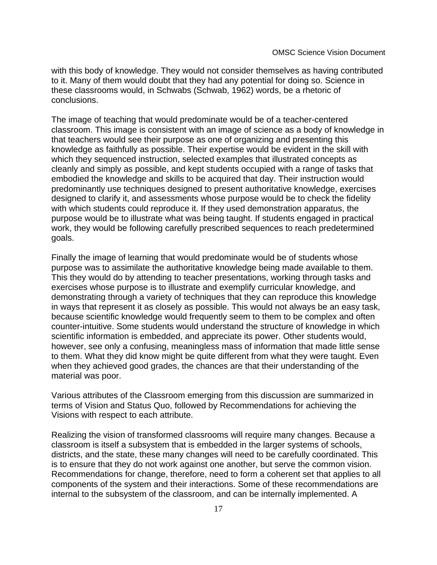with this body of knowledge. They would not consider themselves as having contributed to it. Many of them would doubt that they had any potential for doing so. Science in these classrooms would, in SchwabÕ (Schwab, 1962) words, be a Òrhetoric of conclusions.Ó

The image of teaching that would predominate would be of a teacher-centered classroom. This image is consistent with an image of science as a body of knowledge in that teachers would see their purpose as one of organizing and presenting this knowledge as faithfully as possible. Their expertise would be evident in the skill with which they sequenced instruction, selected examples that illustrated concepts as cleanly and simply as possible, and kept students occupied with a range of tasks that embodied the knowledge and skills to be acquired that day. Their instruction would predominantly use techniques designed to present authoritative knowledge, exercises designed to clarify it, and assessments whose purpose would be to check the fidelity with which students could reproduce it. If they used demonstration apparatus, the purpose would be to illustrate what was being taught. If students engaged in practical work, they would be following carefully prescribed sequences to reach predetermined goals.

Finally the image of learning that would predominate would be of students whose purpose was to assimilate the authoritative knowledge being made available to them. This they would do by attending to teacher presentations, working through tasks and exercises whose purpose is to illustrate and exemplify curricular knowledge, and demonstrating through a variety of techniques that they can reproduce this knowledge in ways that represent it as closely as possible. This would not always be an easy task, because scientific knowledge would frequently seem to them to be complex and often counter-intuitive. Some students would understand the structure of knowledge in which scientific information is embedded, and appreciate its power. Other students would, however, see only a confusing, meaningless mass of information that made little sense to them. What they did know might be quite different from what they were taught. Even when they achieved good grades, the chances are that their understanding of the material was poor.

Various attributes of the Classroom emerging from this discussion are summarized in terms of Vision and Status Quo, followed by Recommendations for achieving the Visions with respect to each attribute.

Realizing the vision of transformed classrooms will require many changes. Because a classroom is itself a subsystem that is embedded in the larger systems of schools, districts, and the state, these many changes will need to be carefully coordinated. This is to ensure that they do not work against one another, but serve the common vision. Recommendations for change, therefore, need to form a coherent set that applies to all components of the system and their interactions. Some of these recommendations are internal to the subsystem of the classroom, and can be internally implemented. A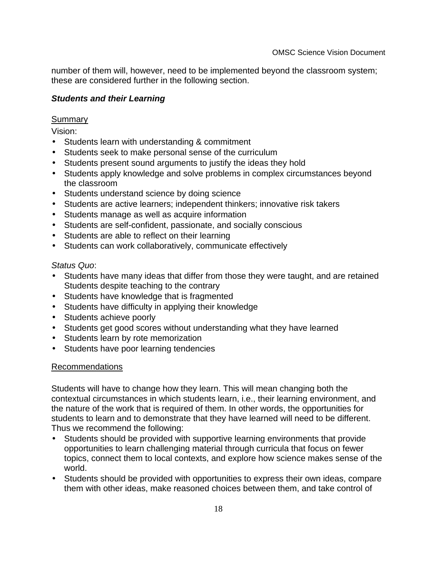number of them will, however, need to be implemented beyond the classroom system; these are considered further in the following section.

# **Students and their Learning**

# Summary

Vision:

- Students learn with understanding & commitment
- Students seek to make personal sense of the curriculum
- Students present sound arguments to justify the ideas they hold
- Students apply knowledge and solve problems in complex circumstances beyond the classroom
- Students understand science by doing science
- Students are active learners; independent thinkers; innovative risk takers
- Students manage as well as acquire information
- Students are self-confident, passionate, and socially conscious
- Students are able to reflect on their learning
- Students can work collaboratively, communicate effectively

# Status Quo:

- Students have many ideas that differ from those they were taught, and are retained Students despite teaching to the contrary
- Students have knowledge that is fragmented
- Students have difficulty in applying their knowledge
- Students achieve poorly
- Students get good scores without understanding what they have learned
- Students learn by rote memorization
- Students have poor learning tendencies

# Recommendations

Students will have to change how they learn. This will mean changing both the contextual circumstances in which students learn, i.e., their learning environment, and the nature of the work that is required of them. In other words, the opportunities for students to learn and to demonstrate that they have learned will need to be different. Thus we recommend the following:

- Students should be provided with supportive learning environments that provide opportunities to learn challenging material through curricula that focus on fewer topics, connect them to local contexts, and explore how science makes sense of the world.
- Students should be provided with opportunities to express their own ideas, compare them with other ideas, make reasoned choices between them, and take control of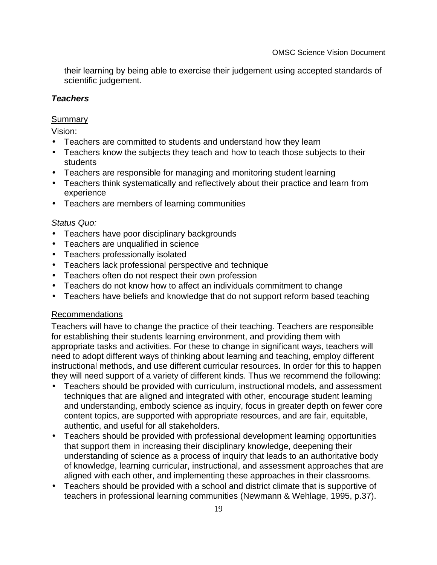their learning by being able to exercise their judgement using accepted standards of scientific judgement.

# **Teachers**

# **Summary**

Vision:

- Teachers are committed to students and understand how they learn
- Teachers know the subjects they teach and how to teach those subjects to their students
- Teachers are responsible for managing and monitoring student learning
- Teachers think systematically and reflectively about their practice and learn from experience
- Teachers are members of learning communities

# Status Quo:

- Teachers have poor disciplinary backgrounds
- Teachers are unqualified in science
- Teachers professionally isolated
- Teachers lack professional perspective and technique
- Teachers often do not respect their own profession
- Teachers do not know how to affect an individual **G** commitment to change
- Teachers have beliefs and knowledge that do not support reform based teaching

# Recommendations

Teachers will have to change the practice of their teaching. Teachers are responsible for establishing their studentsÖ earning environment, and providing them with appropriate tasks and activities. For these to change in significant ways, teachers will need to adopt different ways of thinking about learning and teaching, employ different instructional methods, and use different curricular resources. In order for this to happen they will need support of a variety of different kinds. Thus we recommend the following:

- $\bullet$  Teachers should be provided with curriculum, instructional models, and assessment techniques that are aligned and integrated with other, encourage student learning and understanding, embody science as inquiry, focus in greater depth on fewer core content topics, are supported with appropriate resources, and are fair, equitable, authentic, and useful for all stakeholders.
- Teachers should be provided with professional development learning opportunities that support them in increasing their disciplinary knowledge, deepening their understanding of science as a process of inquiry that leads to an authoritative body of knowledge, learning curricular, instructional, and assessment approaches that are aligned with each other, and implementing these approaches in their classrooms.
- Teachers should be provided with a school and district climate that is supportive of teachers in professional learning communities (Newmann & Wehlage, 1995, p.37).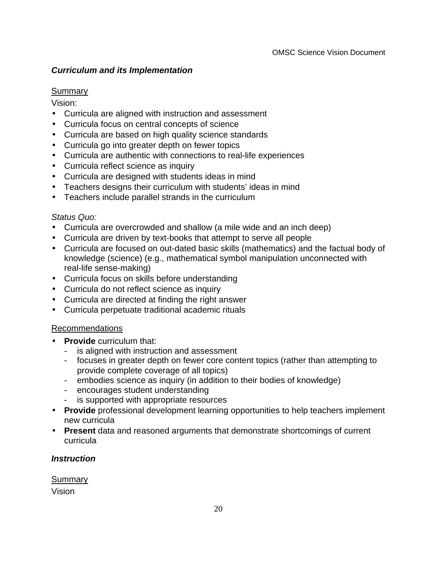# **Curriculum and its Implementation**

# **Summary**

Vision:

- Curricula are aligned with instruction and assessment
- Curricula focus on central concepts of science
- Curricula are based on high quality science standards
- Curricula go into greater depth on fewer topics
- Curricula are authentic with connections to real-life experiences
- Curricula reflect science as inquiry
- Curricula are designed with students ideas in mind
- Teachers designs their curriculum with students' ideas in mind
- Teachers include parallel strands in the curriculum

# Status Quo:

- Curricula are overcrowded and shallow ( $\alpha$  mile wide and an inch deep $\alpha$
- Curricula are driven by text-books that attempt to serve all people
- Curricula are focused on out-dated basic skills (mathematics) and the factual body of knowledge (science) (e.g., mathematical symbol manipulation unconnected with real-life sense-making)
- Curricula focus on skills before understanding
- Curricula do not reflect science as inquiry
- Curricula are directed at finding the Oright answer
- Curricula perpetuate traditional academic rituals

# Recommendations

- **Provide** curriculum that:
	- is aligned with instruction and assessment
	- focuses in greater depth on fewer core content topics (rather than attempting to provide complete coverage of all topics)
	- embodies science as inquiry (in addition to their bodies of knowledge)
	- encourages student understanding
	- is supported with appropriate resources
- **Provide** professional development learning opportunities to help teachers implement new curricula
- **Present** data and reasoned arguments that demonstrate shortcomings of current curricula

# **Instruction**

Summary

Vision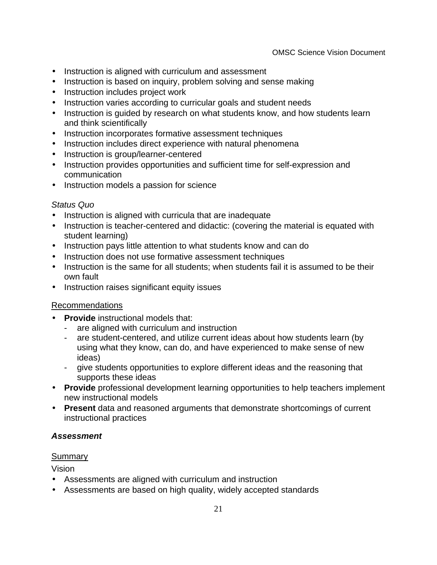- Instruction is aligned with curriculum and assessment
- Instruction is based on inquiry, problem solving and sense making
- Instruction includes project work
- Instruction varies according to curricular goals and student needs
- Instruction is guided by research on what students know, and how students learn and think scientifically
- Instruction incorporates formative assessment techniques
- Instruction includes direct experience with natural phenomena
- Instruction is group/learner-centered
- Instruction provides opportunities and sufficient time for self-expression and communication
- Instruction models a passion for science

# Status Quo

- Instruction is aligned with curricula that are inadequate
- Instruction is teacher-centered and didactic: (covering the material is equated with student learning)
- Instruction pays little attention to what students know and can do
- Instruction does not use formative assessment techniques
- Instruction is the same for all students; when students fail it is assumed to be their own fault
- Instruction raises significant equity issues

# Recommendations

- **Provide** instructional models that:
	- are aligned with curriculum and instruction
	- are student-centered, and utilize current ideas about how students learn (by using what they know, can do, and have experienced to make sense of new ideas)
	- give students opportunities to explore different ideas and the reasoning that supports these ideas
- **Provide** professional development learning opportunities to help teachers implement new instructional models
- **Present** data and reasoned arguments that demonstrate shortcomings of current instructional practices

# **Assessment**

# **Summary**

Vision

- Assessments are aligned with curriculum and instruction
- Assessments are based on high quality, widely accepted standards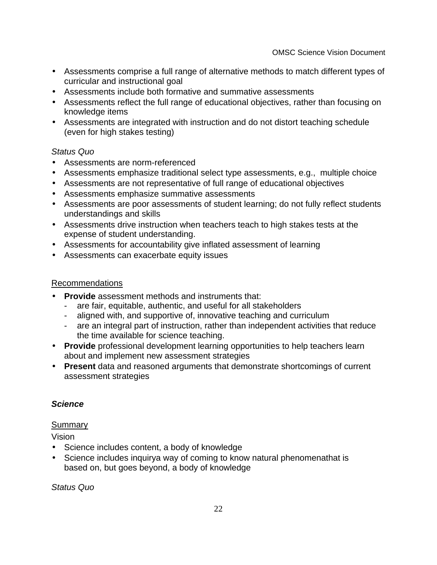- Assessments comprise a full range of alternative methods to match different types of curricular and instructional goal
- Assessments include both formative and summative assessments
- Assessments reflect the full range of educational objectives, rather than focusing on knowledge items
- Assessments are integrated with instruction and do not distort teaching schedule (even for high stakes testing)

# Status Quo

- Assessments are norm-referenced
- Assessments emphasize traditional select type assessments, e.g., multiple choice
- Assessments are not representative of full range of educational objectives
- Assessments emphasize summative assessments
- Assessments are poor assessments of student learning; do not fully reflect students understandings and skills
- Assessments drive instruction when teachers teach to high stakes tests at the expense of student understanding.
- Assessments for accountability give inflated assessment of learning
- Assessments can exacerbate equity issues

# Recommendations

- **Provide** assessment methods and instruments that:
	- are fair, equitable, authentic, and useful for all stakeholders
	- aligned with, and supportive of, innovative teaching and curriculum
	- are an integral part of instruction, rather than independent activities that reduce the time available for science teaching.
- **Provide** professional development learning opportunities to help teachers learn about and implement new assessment strategies
- **Present** data and reasoned arguments that demonstrate shortcomings of current assessment strategies

# **Science**

# Summary

Vision

- Science includes content, a body of knowledge
- Science includes inquiry **N** way of coming to know natural phenomena Nthat is based on, but goes beyond, a body of knowledge

Status Quo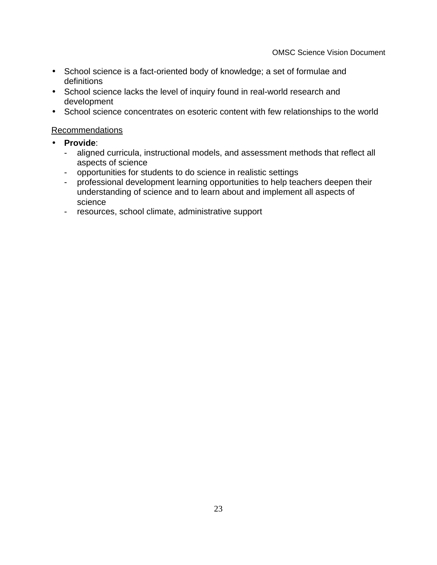- School science is a fact-oriented body of knowledge; a set of formulae and definitions
- School science lacks the level of inquiry found in real-world research and development
- School science concentrates on esoteric content with few relationships to the world

## Recommendations

- **Provide**:
	- aligned curricula, instructional models, and assessment methods that reflect all aspects of science
	- opportunities for students to do science in realistic settings
	- professional development learning opportunities to help teachers deepen their understanding of science and to learn about and implement all aspects of science
	- resources, school climate, administrative support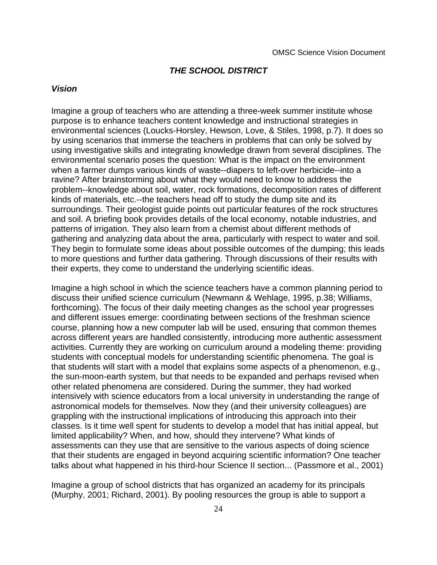#### **THE SCHOOL DISTRICT**

#### **Vision**

Imagine a group of teachers who are attending a three-week summer institute whose purpose is to enhance teachersO content knowledge and instructional strategies in environmental sciences (Loucks-Horsley, Hewson, Love, & Stiles, 1998, p.7). It does so by using  $\hat{Q}$  cenarios $\hat{Q}$  hat immerse the teachers in problems that can only be solved by using investigative skills and integrating knowledge drawn from several disciplines. The environmental scenario poses the question: What is the impact on the environment when a farmer dumps various kinds of waste--diapers to left-over herbicide--into a ravine? After brainstorming about what they would need to know to address the problem--knowledge about soil, water, rock formations, decomposition rates of different kinds of materials, etc.--the teachers head off to study the dump site and its surroundings. Their geologist guide points out particular features of the rock structures and soil. A briefing book provides details of the local economy, notable industries, and patterns of irrigation. They also learn from a chemist about different methods of gathering and analyzing data about the area, particularly with respect to water and soil. They begin to formulate some ideas about possible outcomes of the dumping; this leads to more questions and further data gathering. Through discussions of their results with their experts, they come to understand the underlying scientific ideas.

Imagine a high school in which the science teachers have a common planning period to discuss their unified science curriculum (Newmann & Wehlage, 1995, p.38; Williams, forthcoming). The focus of their daily meeting changes as the school year progresses and different issues emerge: coordinating between sections of the freshman science course, planning how a new computer lab will be used, ensuring that common themes across different years are handled consistently, introducing more authentic assessment activities. Currently they are working on curriculum around a modeling theme: providing students with conceptual models for understanding scientific phenomena. The goal is that students will start with a model that explains some aspects of a phenomenon, e.g., the sun-moon-earth system, but that needs to be expanded and perhaps revised when other related phenomena are considered. During the summer, they had worked intensively with science educators from a local university in understanding the range of astronomical models for themselves. Now they (and their university colleagues) are grappling with the instructional implications of introducing this approach into their classes. Is it time well spent for students to develop a model that has initial appeal, but limited applicability? When, and how, should they intervene? What kinds of assessments can they use that are sensitive to the various aspects of doing science that their students are engaged in beyond acquiring scientific information? One teacher talks about what happened in his third-hour Science II section... (Passmore et al., 2001)

Imagine a group of school districts that has organized an academy for its principals (Murphy, 2001; Richard, 2001). By pooling resources the group is able to support a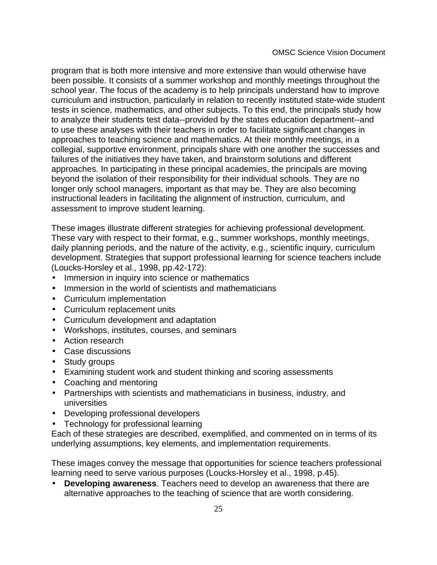program that is both more intensive and more extensive than would otherwise have been possible. It consists of a summer workshop and monthly meetings throughout the school year. The focus of the academy is to help principals understand how to improve curriculum and instruction, particularly in relation to recently instituted state-wide student tests in science, mathematics, and other subjects. To this end, the principals study how to analyze their students $\tilde{Q}$  est data--provided by the state  $\tilde{Q}$  education department--and to use these analyses with their teachers in order to facilitate significant changes in approaches to teaching science and mathematics. At their monthly meetings, in a collegial, supportive environment, principals share with one another the successes and failures of the initiatives they have taken, and brainstorm solutions and different approaches. In participating in these principal academies, the principals are moving beyond the isolation of their responsibility for their individual schools. They are no longer only school managers, important as that may be. They are also becoming instructional leaders in facilitating the alignment of instruction, curriculum, and assessment to improve student learning.

These images illustrate different strategies for achieving professional development. These vary with respect to their format, e.g., summer workshops, monthly meetings, daily planning periods, and the nature of the activity, e.g., scientific inquiry, curriculum development. Strategies that support professional learning for science teachers include (Loucks-Horsley et al., 1998, pp.42-172):

- Immersion in inquiry into science or mathematics
- Immersion in the world of scientists and mathematicians
- Curriculum implementation
- Curriculum replacement units
- Curriculum development and adaptation
- Workshops, institutes, courses, and seminars
- Action research
- Case discussions
- Study groups
- Examining student work and student thinking and scoring assessments
- Coaching and mentoring
- Partnerships with scientists and mathematicians in business, industry, and universities
- Developing professional developers
- •Technology for professional learning

Each of these strategies are described, exemplified, and commented on in terms of its underlying assumptions, key elements, and implementation requirements.

These images convey the message that opportunities for science teachersO professional learning need to serve various purposes (Loucks-Horsley et al., 1998, p.45).

• **Developing awareness**. Teachers need to develop an awareness that there are alternative approaches to the teaching of science that are worth considering.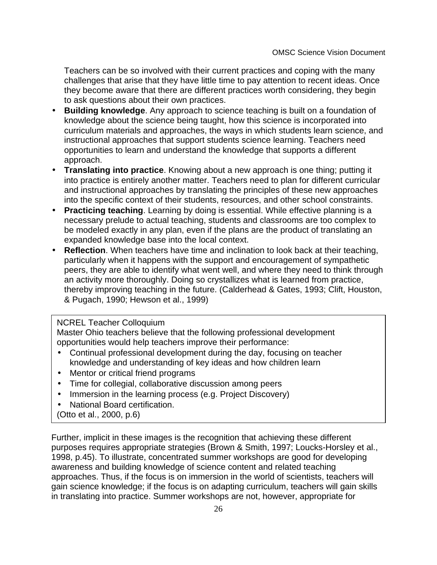Teachers can be so involved with their current practices and coping with the many challenges that arise that they have little time to pay attention to recent ideas. Once they become aware that there are different practices worth considering, they begin to ask questions about their own practices.

- **Building knowledge**. Any approach to science teaching is built on a foundation of knowledge about the science being taught, how this science is incorporated into curriculum materials and approaches, the ways in which students learn science, and instructional approaches that support studentsÕ science learning. Teachers need opportunities to learn and understand the knowledge that supports a different approach.
- **Translating into practice**. Knowing about a new approach is one thing; putting it into practice is entirely another matter. Teachers need to plan for different curricular and instructional approaches by translating the principles of these new approaches into the specific context of their students, resources, and other school constraints.
- **Practicing teaching**. Learning by doing is essential. While effective planning is a necessary prelude to actual teaching, students and classrooms are too complex to be modeled exactly in any plan, even if the plans are the product of translating an expanded knowledge base into the local context.
- **Reflection**. When teachers have time and inclination to look back at their teaching, particularly when it happens with the support and encouragement of sympathetic peers, they are able to identify what went well, and where they need to think through an activity more thoroughly. Doing so crystallizes what is learned from practice, thereby improving teaching in the future. (Calderhead & Gates, 1993; Clift, Houston, & Pugach, 1990; Hewson et al., 1999)

#### NCREL Teacher Colloquium

Master Ohio teachers believe that the following professional development opportunities would help teachers improve their performance:

- Continual professional development during the day, focusing on teacher knowledge and understanding of key ideas and how children learn
- Mentor or **Oritical friendO rograms**
- Time for collegial, collaborative discussion among peers
- Immersion in the learning process (e.g. Project Discovery)
- •National Board certification.
- (Otto et al., 2000, p.6)

Further, implicit in these images is the recognition that achieving these different purposes requires appropriate strategies (Brown & Smith, 1997; Loucks-Horsley et al., 1998, p.45). To illustrate, concentrated summer workshops are good for developing awareness and building knowledge of science content and related teaching approaches. Thus, if the focus is on immersion in the world of scientists, teachers will gain science knowledge; if the focus is on adapting curriculum, teachers will gain skills in translating into practice. Summer workshops are not, however, appropriate for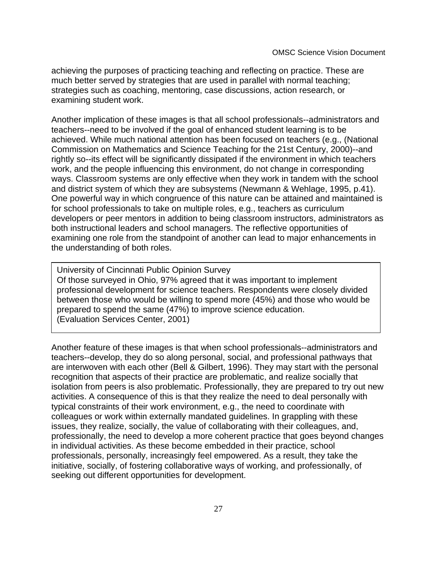achieving the purposes of practicing teaching and reflecting on practice. These are much better served by strategies that are used in parallel with normal teaching; strategies such as coaching, mentoring, case discussions, action research, or examining student work.

Another implication of these images is that all school professionals--administrators and teachers--need to be involved if the goal of enhanced student learning is to be achieved. While much national attention has been focused on teachers (e.g., (National Commission on Mathematics and Science Teaching for the 21st Century, 2000)--and rightly so--its effect will be significantly dissipated if the environment in which teachers work, and the people influencing this environment, do not change in corresponding ways. Classroom systems are only effective when they work in tandem with the school and district system of which they are subsystems (Newmann & Wehlage, 1995, p.41). One powerful way in which congruence of this nature can be attained and maintained is for school professionals to take on multiple roles, e.g., teachers as curriculum developers or peer mentors in addition to being classroom instructors, administrators as both instructional leaders and school managers. The reflective opportunities of examining one role from the standpoint of another can lead to major enhancements in the understanding of both roles.

University of Cincinnati Public Opinion Survey Of those surveyed in Ohio, 97% agreed that it was important to implement professional development for science teachers. Respondents were closely divided between those who would be willing to spend more (45%) and those who would be prepared to spend the same (47%) to improve science education. (Evaluation Services Center, 2001)

Another feature of these images is that when school professionals--administrators and teachers--develop, they do so along personal, social, and professional pathways that are interwoven with each other (Bell & Gilbert, 1996). They may start with the personal recognition that aspects of their practice are problematic, and realize socially that isolation from peers is also problematic. Professionally, they are prepared to try out new activities. A consequence of this is that they realize the need to deal personally with typical constraints of their work environment, e.g., the need to coordinate with colleagues or work within externally mandated guidelines. In grappling with these issues, they realize, socially, the value of collaborating with their colleagues, and, professionally, the need to develop a more coherent practice that goes beyond changes in individual activities. As these become embedded in their practice, school professionals, personally, increasingly feel empowered. As a result, they take the initiative, socially, of fostering collaborative ways of working, and professionally, of seeking out different opportunities for development.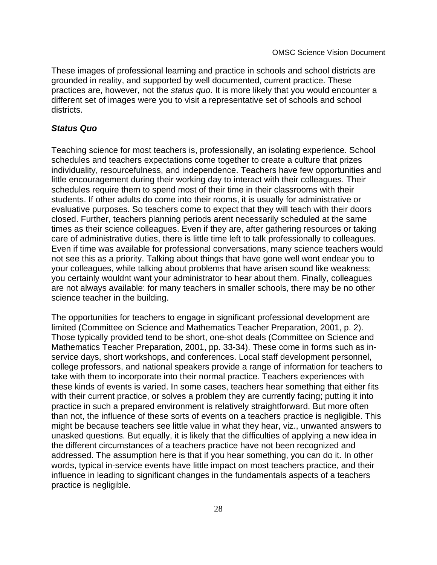These images of professional learning and practice in schools and school districts are grounded in reality, and supported by well documented, current practice. These practices are, however, not the status quo. It is more likely that you would encounter a different set of images were you to visit a representative set of schools and school districts.

#### **Status Quo**

Teaching science for most teachers is, professionally, an isolating experience. School schedules and teachers <del>Ö</del> expectations come together to create a culture that prizes individuality, resourcefulness, and independence. Teachers have few opportunities and little encouragement during their working day to interact with their colleagues. Their schedules require them to spend most of their time in their classrooms with their students. If other adults do come into their rooms, it is usually for administrative or evaluative purposes. So teachers come to expect that they will teach with their doors closed. Further, teachersOplanning periods aren Onecessarily scheduled at the same times as their science colleagues. Even if they are, after gathering resources or taking care of administrative duties, there is little time left to talk professionally to colleagues. Even if time was available for professional conversations, many science teachers would not see this as a priority. Talking about things that have gone well won  $\hat{\Phi}$  endear you to your colleagues, while talking about problems that have arisen sound like weakness; you certainly wouldn O want your administrator to hear about them. Finally, colleagues are not always available: for many teachers in smaller schools, there may be no other science teacher in the building.

The opportunities for teachers to engage in significant professional development are limited (Committee on Science and Mathematics Teacher Preparation, 2001, p. 2). Those typically provided tend to be short, one-shot deals (Committee on Science and Mathematics Teacher Preparation, 2001, pp. 33-34). These come in forms such as inservice days, short workshops, and conferences. Local staff development personnel, college professors, and national speakers provide a range of information for teachers to take with them to incorporate into their normal practice. Teachers Ö experiences with these kinds of events is varied. In some cases, teachers hear something that either fits with their current practice, or solves a problem they are currently facing; putting it into practice in such a prepared environment is relatively straightforward. But more often than not, the influence of these sorts of events on a teacher **S** practice is negligible. This might be because teachers see little value in what they hear, viz., unwanted answers to unasked questions. But equally, it is likely that the difficulties of applying a new idea in the different circumstances of a teacher**<sup>®</sup>** practice have not been recognized and addressed. The assumption here is that if you hear something, you can do it. In other words, typical in-service events have little impact on most teachers Opractice, and their influence in leading to significant changes in the fundamentals aspects of a teacher  $\tilde{\mathbf{S}}$ practice is negligible.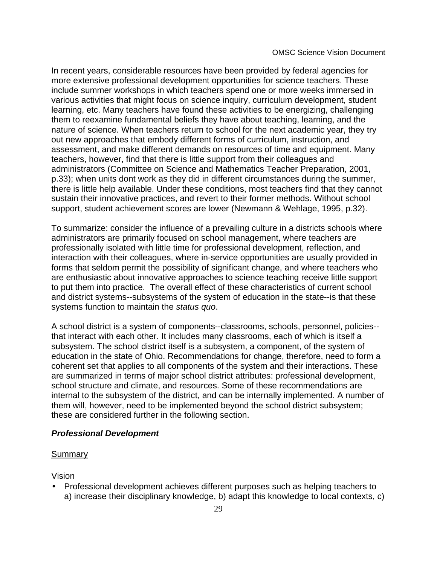In recent years, considerable resources have been provided by federal agencies for more extensive professional development opportunities for science teachers. These include summer workshops in which teachers spend one or more weeks immersed in various activities that might focus on science inquiry, curriculum development, student learning, etc. Many teachers have found these activities to be energizing, challenging them to reexamine fundamental beliefs they have about teaching, learning, and the nature of science. When teachers return to school for the next academic year, they try out new approaches that embody different forms of curriculum, instruction, and assessment, and make different demands on resources of time and equipment. Many teachers, however, find that there is little support from their colleagues and administrators (Committee on Science and Mathematics Teacher Preparation, 2001,  $p.33$ ); when units don $\tilde{\Phi}$  work as they did in different circumstances during the summer, there is little help available. Under these conditions, most teachers find that they cannot sustain their innovative practices, and revert to their former methods. Without school support, student achievement scores are lower (Newmann & Wehlage, 1995, p.32).

To summarize: consider the influence of a prevailing culture in a district**G** schools where administrators are primarily focused on school management, where teachers are professionally isolated with little time for professional development, reflection, and interaction with their colleagues, where in-service opportunities are usually provided in forms that seldom permit the possibility of significant change, and where teachers who are enthusiastic about innovative approaches to science teaching receive little support to put them into practice. The overall effect of these characteristics of current school and district systems--subsystems of the system of education in the state--is that these systems function to maintain the status quo.

A school district is a system of components--classrooms, schools, personnel, policies- that interact with each other. It includes many classrooms, each of which is itself a subsystem. The school district itself is a subsystem, a component, of the system of education in the state of Ohio. Recommendations for change, therefore, need to form a coherent set that applies to all components of the system and their interactions. These are summarized in terms of major school district attributes: professional development, school structure and climate, and resources. Some of these recommendations are internal to the subsystem of the district, and can be internally implemented. A number of them will, however, need to be implemented beyond the school district subsystem; these are considered further in the following section.

#### **Professional Development**

#### Summary

Vision

• Professional development achieves different purposes such as helping teachers to a) increase their disciplinary knowledge, b) adapt this knowledge to local contexts, c)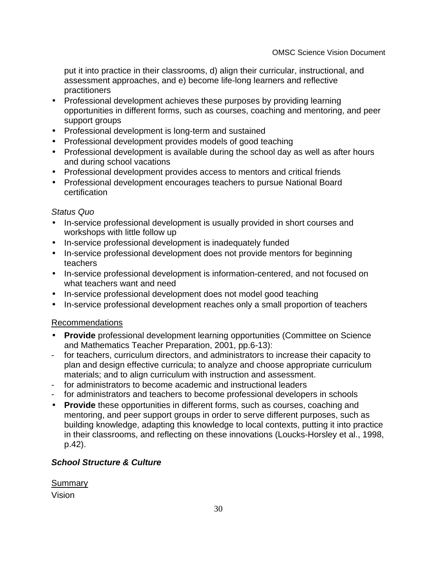put it into practice in their classrooms, d) align their curricular, instructional, and assessment approaches, and e) become life-long learners and reflective practitioners

- Professional development achieves these purposes by providing learning opportunities in different forms, such as courses, coaching and mentoring, and peer support groups
- Professional development is long-term and sustained
- Professional development provides models of good teaching
- Professional development is available during the school day as well as after hours and during school vacations
- Professional development provides access to mentors and **O**ritical friends
- Professional development encourages teachers to pursue National Board certification

# Status Quo

- In-service professional development is usually provided in short courses and workshops with little follow up
- In-service professional development is inadequately funded
- In-service professional development does not provide mentors for beginning teachers
- In-service professional development is information-centered, and not focused on what teachers want and need
- In-service professional development does not model good teaching
- In-service professional development reaches only a small proportion of teachers

# Recommendations

- **Provide** professional development learning opportunities (Committee on Science and Mathematics Teacher Preparation, 2001, pp.6-13):
- for teachers, curriculum directors, and administrators to increase their capacity to plan and design effective curricula; to analyze and choose appropriate curriculum materials; and to align curriculum with instruction and assessment.
- for administrators to become academic and instructional leaders
- for administrators and teachers to become professional developers in schools
- **Provide** these opportunities in different forms, such as courses, coaching and mentoring, and peer support groups in order to serve different purposes, such as building knowledge, adapting this knowledge to local contexts, putting it into practice in their classrooms, and reflecting on these innovations (Loucks-Horsley et al., 1998, p.42).

# **School Structure & Culture**

**Summary** Vision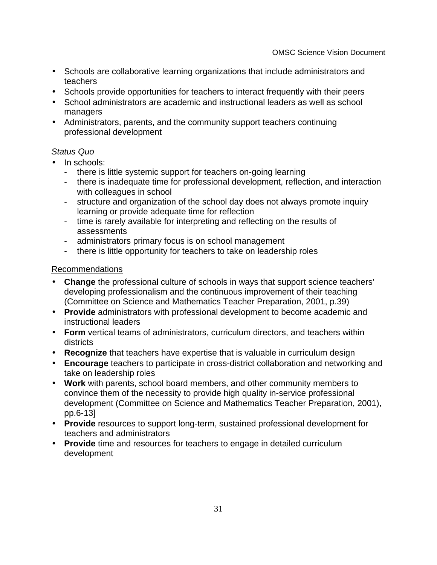- Schools are collaborative learning organizations that include administrators and teachers
- Schools provide opportunities for teachers to interact frequently with their peers
- School administrators are academic and instructional leaders as well as school managers
- Administrators, parents, and the community support teachers $\Omega$ continuing professional development

# Status Quo

- In schools:
	- there is little systemic support for teachers $\tilde{\mathbf{C}}$  on-going learning
	- there is inadequate time for professional development, reflection, and interaction with colleagues in school
	- structure and organization of the school day does not always promote inquiry learning or provide adequate time for reflection
	- time is rarely available for interpreting and reflecting on the results of assessments
	- administratorsÖ primary focus is on school management
	- there is little opportunity for teachers to take on leadership roles

# Recommendations

- **Change** the professional culture of schools in ways that support science teachers' developing professionalism and the continuous improvement of their teaching (Committee on Science and Mathematics Teacher Preparation, 2001, p.39)
- **Provide** administrators with professional development to become academic and instructional leaders
- **Form** vertical teams of administrators, curriculum directors, and teachers within districts
- **Recognize** that teachers have expertise that is valuable in curriculum design
- **Encourage** teachers to participate in cross-district collaboration and networking and take on leadership roles
- **Work** with parents, school board members, and other community members to convince them of the necessity to provide high quality in-service professional development (Committee on Science and Mathematics Teacher Preparation, 2001), pp.6-13]
- **Provide** resources to support long-term, sustained professional development for teachers and administrators
- **Provide** time and resources for teachers to engage in detailed curriculum development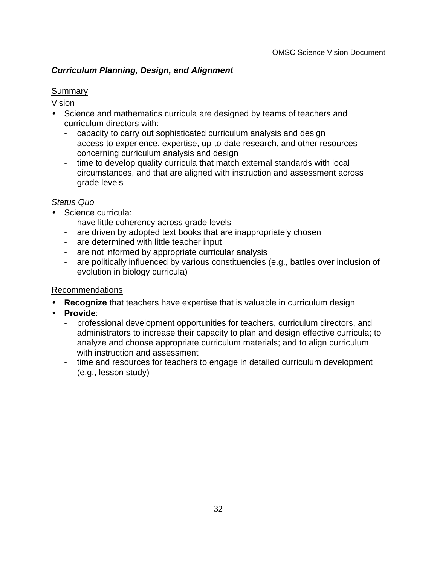# **Curriculum Planning, Design, and Alignment**

# **Summary**

Vision

- Science and mathematics curricula are designed by teams of teachers and curriculum directors with:
	- capacity to carry out sophisticated curriculum analysis and design
	- access to experience, expertise, up-to-date research, and other resources concerning curriculum analysis and design
	- time to develop quality curricula that match external standards with local circumstances, and that are aligned with instruction and assessment across grade levels

# Status Quo

- Science curricula:
	- have little coherency across grade levels
	- are driven by adopted text books that are inappropriately chosen
	- are determined with little teacher input
	- are not informed by appropriate curricular analysis
	- are politically influenced by various constituencies (e.g., battles over inclusion of evolution in biology curricula)

# Recommendations

- **Recognize** that teachers have expertise that is valuable in curriculum design
- **Provide**:
	- professional development opportunities for teachers, curriculum directors, and administrators to increase their capacity to plan and design effective curricula; to analyze and choose appropriate curriculum materials; and to align curriculum with instruction and assessment
	- time and resources for teachers to engage in detailed curriculum development (e.g., lesson study)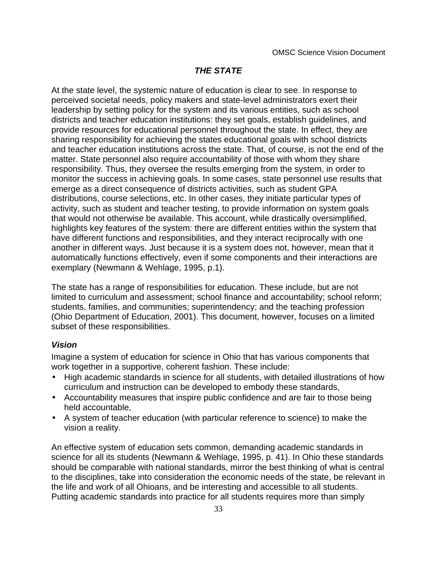# **THE STATE**

At the state level, the systemic nature of education is clear to see. In response to perceived societal needs, policy makers and state-level administrators exert their leadership by setting policy for the system and its various entities, such as school districts and teacher education institutions: they set goals, establish guidelines, and provide resources for educational personnel throughout the state. In effect, they are sharing responsibility for achieving the state **Õ** educational goals with school districts and teacher education institutions across the state. That, of course, is not the end of the matter. State personnel also require accountability of those with whom they share responsibility. Thus, they oversee the results emerging from the system, in order to monitor the success in achieving goals. In some cases, state personnel use results that emerge as a direct consequence of districts Occivities, such as student GPA distributions, course selections, etc. In other cases, they initiate particular types of activity, such as student and teacher testing, to provide information on system goals that would not otherwise be available. This account, while drastically oversimplified, highlights key features of the system: there are different entities within the system that have different functions and responsibilities, and they interact reciprocally with one another in different ways. Just because it is a system does not, however, mean that it automatically functions effectively, even if some components and their interactions are exemplary (Newmann & Wehlage, 1995, p.1).

The state has a range of responsibilities for education. These include, but are not limited to curriculum and assessment; school finance and accountability; school reform; students, families, and communities; superintendency; and the teaching profession (Ohio Department of Education, 2001). This document, however, focuses on a limited subset of these responsibilities.

# **Vision**

Imagine a system of education for science in Ohio that has various components that work together in a supportive, coherent fashion. These include:

- High academic standards in science for all students, with detailed illustrations of how curriculum and instruction can be developed to embody these standards,
- Accountability measures that inspire public confidence and are fair to those being held accountable,
- A system of teacher education (with particular reference to science) to make the vision a reality.

An effective system of education sets common, demanding academic standards in science for all its students (Newmann & Wehlage, 1995, p. 41). In Ohio these standards should be comparable with national standards, mirror the best thinking of what is central to the disciplines, take into consideration the economic needs of the state, be relevant in the life and work of all Ohioans, and be interesting and accessible to all students. Putting academic standards into practice for all students requires more than simply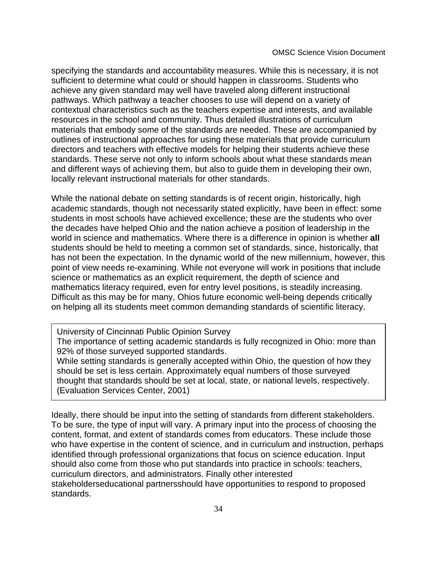specifying the standards and accountability measures. While this is necessary, it is not sufficient to determine what could or should happen in classrooms. Students who achieve any given standard may well have traveled along different instructional pathways. Which pathway a teacher chooses to use will depend on a variety of contextual characteristics such as the teacher  $\tilde{\mathbf{Q}}$  expertise and interests, and available resources in the school and community. Thus detailed illustrations of curriculum materials that embody some of the standards are needed. These are accompanied by outlines of instructional approaches for using these materials that provide curriculum directors and teachers with effective models for helping their students achieve these standards. These serve not only to inform schools about what these standards mean and different ways of achieving them, but also to guide them in developing their own, locally relevant instructional materials for other standards.

While the national debate on setting standards is of recent origin, historically, high academic standards, though not necessarily stated explicitly, have been in effect: some students in most schools have achieved excellence; these are the students who over the decades have helped Ohio and the nation achieve a position of leadership in the world in science and mathematics. Where there is a difference in opinion is whether **all** students should be held to meeting a common set of standards, since, historically, that has not been the expectation. In the dynamic world of the new millennium, however, this point of view needs re-examining. While not everyone will work in positions that include science or mathematics as an explicit requirement, the depth of science and mathematics literacy required, even for entry level positions, is steadily increasing. Difficult as this may be for many, Ohio **G** future economic well-being depends critically on helping all its students meet common demanding standards of scientific literacy.

University of Cincinnati Public Opinion Survey The importance of setting academic standards is fully recognized in Ohio: more than 92% of those surveyed supported standards. While setting standards is generally accepted within Ohio, the question of how they should be set is less certain. Approximately equal numbers of those surveyed thought that standards should be set at local, state, or national levels, respectively. (Evaluation Services Center, 2001)

Ideally, there should be input into the setting of standards from different stakeholders. To be sure, the type of input will vary. A primary input into the process of choosing the content, format, and extent of standards comes from educators. These include those who have expertise in the content of science, and in curriculum and instruction, perhaps identified through professional organizations that focus on science education. Input should also come from those who put standards into practice in schools: teachers, curriculum directors, and administrators. Finally other interested stakeholdersÑeducational partnersÑshould have opportunities to respond to proposed standards.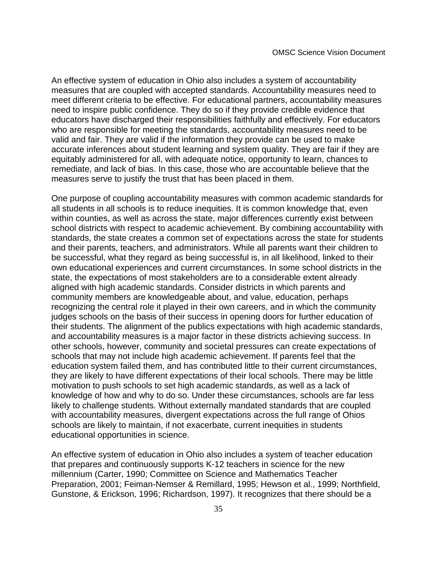An effective system of education in Ohio also includes a system of accountability measures that are coupled with accepted standards. Accountability measures need to meet different criteria to be effective. For educational partners, accountability measures need to inspire public confidence. They do so if they provide credible evidence that educators have discharged their responsibilities faithfully and effectively. For educators who are responsible for meeting the standards, accountability measures need to be valid and fair. They are valid if the information they provide can be used to make accurate inferences about student learning and system quality. They are fair if they are equitably administered for all, with adequate notice, opportunity to learn, chances to remediate, and lack of bias. In this case, those who are accountable believe that the measures serve to justify the trust that has been placed in them.

One purpose of coupling accountability measures with common academic standards for all students in all schools is to reduce inequities. It is common knowledge that, even within counties, as well as across the state, major differences currently exist between school districts with respect to academic achievement. By combining accountability with standards, the state creates a common set of expectations across the state for students and their parents, teachers, and administrators. While all parents want their children to be successful, what they regard as being successful is, in all likelihood, linked to their own educational experiences and current circumstances. In some school districts in the state, the expectations of most stakeholders are to a considerable extent already aligned with high academic standards. Consider districts in which parents and community members are knowledgeable about, and value, education, perhaps recognizing the central role it played in their own careers, and in which the community judges schools on the basis of their success in opening doors for further education of their students. The alignment of the public  $\ddot{\mathbf{G}}$  expectations with high academic standards, and accountability measures is a major factor in these districts achieving success. In other schools, however, community and societal pressures can create expectations of schools that may not include high academic achievement. If parents feel that the education system failed them, and has contributed little to their current circumstances, they are likely to have different expectations of their local schools. There may be little motivation to push schools to set high academic standards, as well as a lack of knowledge of how and why to do so. Under these circumstances, schools are far less likely to challenge students. Without externally mandated standards that are coupled with accountability measures, divergent expectations across the full range of Ohio **G** schools are likely to maintain, if not exacerbate, current inequities in studentsÕ educational opportunities in science.

An effective system of education in Ohio also includes a system of teacher education that prepares and continuously supports K-12 teachers in science for the new millennium (Carter, 1990; Committee on Science and Mathematics Teacher Preparation, 2001; Feiman-Nemser & Remillard, 1995; Hewson et al., 1999; Northfield, Gunstone, & Erickson, 1996; Richardson, 1997). It recognizes that there should be a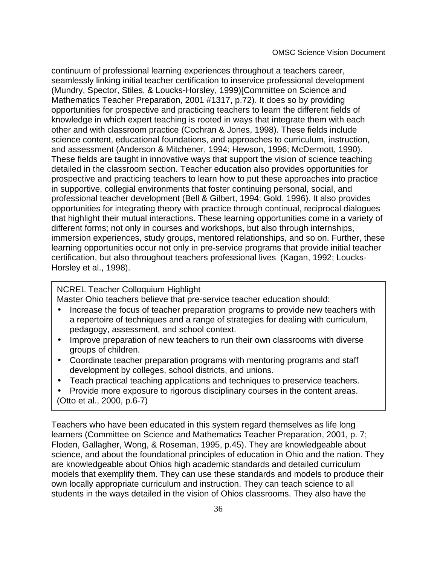OMSC Science Vision Document

continuum of professional learning experiences throughout a teacher<sup>®</sup> career, seamlessly linking initial teacher certification to inservice professional development (Mundry, Spector, Stiles, & Loucks-Horsley, 1999)[Committee on Science and Mathematics Teacher Preparation, 2001 #1317, p.72). It does so by providing opportunities for prospective and practicing teachers to learn the different fields of knowledge in which expert teaching is rooted in ways that integrate them with each other and with classroom practice (Cochran & Jones, 1998). These fields include science content, educational foundations, and approaches to curriculum, instruction, and assessment (Anderson & Mitchener, 1994; Hewson, 1996; McDermott, 1990). These fields are taught in innovative ways that support the vision of science teaching detailed in the classroom section. Teacher education also provides opportunities for prospective and practicing teachers to learn how to put these approaches into practice in supportive, collegial environments that foster continuing personal, social, and professional teacher development (Bell & Gilbert, 1994; Gold, 1996). It also provides opportunities for integrating theory with practice through continual, reciprocal dialogues that highlight their mutual interactions. These learning opportunities come in a variety of different forms; not only in courses and workshops, but also through internships, immersion experiences, study groups, mentored relationships, and so on. Further, these learning opportunities occur not only in pre-service programs that provide initial teacher certification, but also throughout teachers Oprofessional lives (Kagan, 1992; Loucks-Horsley et al., 1998).

# NCREL Teacher Colloquium Highlight

Master Ohio teachers believe that pre-service teacher education should:

- Increase the focus of teacher preparation programs to provide new teachers with a repertoire of techniques and a range of strategies for dealing with curriculum, pedagogy, assessment, and school context.
- Improve preparation of new teachers to run their own classrooms with diverse groups of children.
- Coordinate teacher preparation programs with mentoring programs and staff development by colleges, school districts, and unions.
- Teach practical teaching applications and techniques to preservice teachers.
- Provide more exposure to rigorous disciplinary courses in the content areas. (Otto et al., 2000, p.6-7)

Teachers who have been educated in this system regard themselves as life long learners (Committee on Science and Mathematics Teacher Preparation, 2001, p. 7; Floden, Gallagher, Wong, & Roseman, 1995, p.45). They are knowledgeable about science, and about the foundational principles of education in Ohio and the nation. They are knowledgeable about OhioÕs high academic standards and detailed curriculum models that exemplify them. They can use these standards and models to produce their own locally appropriate curriculum and instruction. They can teach science to all students in the ways detailed in the vision of Ohio **G** classrooms. They also have the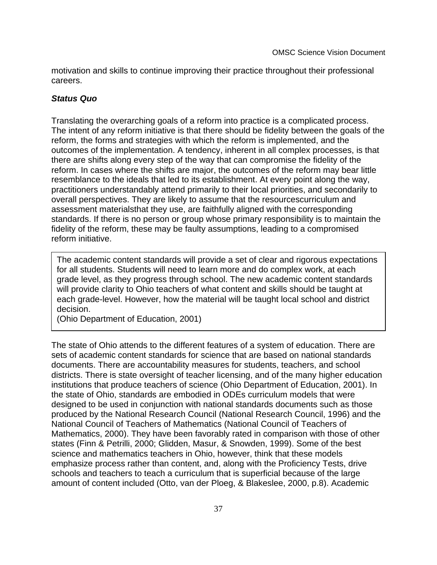motivation and skills to continue improving their practice throughout their professional careers.

## **Status Quo**

Translating the overarching goals of a reform into practice is a complicated process. The intent of any reform initiative is that there should be fidelity between the goals of the reform, the forms and strategies with which the reform is implemented, and the outcomes of the implementation. A tendency, inherent in all complex processes, is that there are shifts along every step of the way that can compromise the fidelity of the reform. In cases where the shifts are major, the outcomes of the reform may bear little resemblance to the ideals that led to its establishment. At every point along the way, practitioners understandably attend primarily to their local priorities, and secondarily to overall perspectives. They are likely to assume that the resources Nurriculum and assessment materials **N**at they use, are faithfully aligned with the corresponding standards. If there is no person or group whose primary responsibility is to maintain the fidelity of the reform, these may be faulty assumptions, leading to a compromised reform initiative.

The academic content standards will provide a set of clear and rigorous expectations for all students. Students will need to learn more and do complex work, at each grade level, as they progress through school. The new academic content standards will provide clarity to Ohio teachers of what content and skills should be taught at each grade-level. However, how the material will be taught local school and district decision.

(Ohio Department of Education, 2001)

The state of Ohio attends to the different features of a system of education. There are sets of academic content standards for science that are based on national standards documents. There are accountability measures for students, teachers, and school districts. There is state oversight of teacher licensing, and of the many higher education institutions that produce teachers of science (Ohio Department of Education, 2001). In the state of Ohio, standards are embodied in ODEÕs curriculum models that were designed to be used in conjunction with national standards documents such as those produced by the National Research Council (National Research Council, 1996) and the National Council of Teachers of Mathematics (National Council of Teachers of Mathematics, 2000). They have been favorably rated in comparison with those of other states (Finn & Petrilli, 2000; Glidden, Masur, & Snowden, 1999). Some of the best science and mathematics teachers in Ohio, however, think that these models emphasize process rather than content, and, along with the Proficiency Tests, drive schools and teachers to teach a curriculum that is superficial because of the large amount of content included (Otto, van der Ploeg, & Blakeslee, 2000, p.8). Academic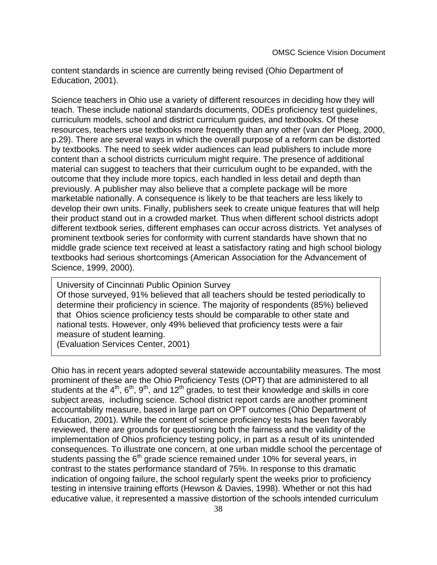content standards in science are currently being revised (Ohio Department of Education, 2001).

Science teachers in Ohio use a variety of different resources in deciding how they will teach. These include national standards documents, ODE **G** proficiency test quidelines, curriculum models, school and district curriculum guides, and textbooks. Of these resources, teachers use textbooks more frequently than any other (van der Ploeg, 2000, p.29). There are several ways in which the overall purpose of a reform can be distorted by textbooks. The need to seek wider audiences can lead publishers to include more content than a school districtÕs curriculum might require. The presence of additional material can suggest to teachers that their curriculum ought to be expanded, with the outcome that they include more topics, each handled in less detail and depth than previously. A publisher may also believe that a complete package will be more marketable nationally. A consequence is likely to be that teachers are less likely to develop their own units. Finally, publishers seek to create unique features that will help their product stand out in a crowded market. Thus when different school districts adopt different textbook series, different emphases can occur across districts. Yet analyses of prominent textbook series for conformity with current standards have shown that no middle grade science text received at least a satisfactory rating and high school biology textbooks had serious shortcomings (American Association for the Advancement of Science, 1999, 2000).

University of Cincinnati Public Opinion Survey Of those surveyed, 91% believed that all teachers should be tested periodically to determine their proficiency in science. The majority of respondents (85%) believed that OhioÕs science proficiency tests should be comparable to other state and national tests. However, only 49% believed that proficiency tests were a fair measure of student learning.

(Evaluation Services Center, 2001)

Ohio has in recent years adopted several statewide accountability measures. The most prominent of these are the Ohio Proficiency Tests (OPT) that are administered to all students at the 4<sup>th</sup>, 6<sup>th</sup>, 9<sup>th</sup>, and 12<sup>th</sup> grades, Фо test their knowledge and skills in core subject areas,Ó including science. School district report cards are another prominent accountability measure, based in large part on OPT outcomes (Ohio Department of Education, 2001). While the content of science proficiency tests has been favorably reviewed, there are grounds for questioning both the fairness and the validity of the implementation of Ohio Oproficiency testing policy, in part as a result of its unintended consequences. To illustrate one concern, at one urban middle school the percentage of students passing the 6<sup>th</sup> grade science remained under 10% for several years, in contrast to the state **O** performance standard of 75%. In response to this dramatic indication of ongoing failure, the school regularly spent the weeks prior to proficiency testing in intensive training efforts (Hewson & Davies, 1998). Whether or not this had educative value, it represented a massive distortion of the schoolÕs intended curriculum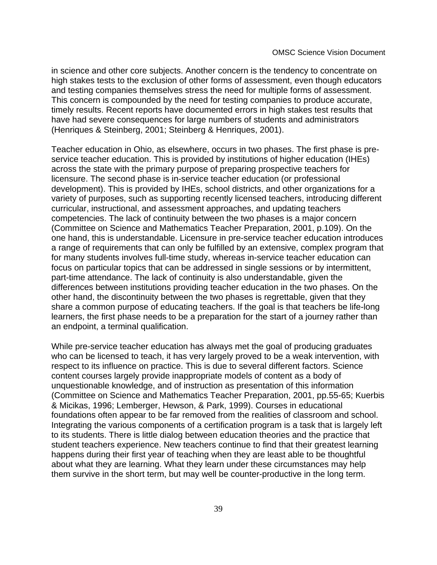in science and other core subjects. Another concern is the tendency to concentrate on high stakes tests to the exclusion of other forms of assessment, even though educators and testing companies themselves stress the need for multiple forms of assessment. This concern is compounded by the need for testing companies to produce accurate, timely results. Recent reports have documented errors in high stakes test results that have had severe consequences for large numbers of students and administrators (Henriques & Steinberg, 2001; Steinberg & Henriques, 2001).

Teacher education in Ohio, as elsewhere, occurs in two phases. The first phase is preservice teacher education. This is provided by institutions of higher education (IHE $\tilde{\mathbf{G}}$ ) across the state with the primary purpose of preparing prospective teachers for licensure. The second phase is in-service teacher education (or professional development). This is provided by IHE $\tilde{\mathbf{G}}$ , school districts, and other organizations for a variety of purposes, such as supporting recently licensed teachers, introducing different curricular, instructional, and assessment approaches, and updating teachersÕ competencies. The lack of continuity between the two phases is a major concern (Committee on Science and Mathematics Teacher Preparation, 2001, p.109). On the one hand, this is understandable. Licensure in pre-service teacher education introduces a range of requirements that can only be fulfilled by an extensive, complex program that for many students involves full-time study, whereas in-service teacher education can focus on particular topics that can be addressed in single sessions or by intermittent, part-time attendance. The lack of continuity is also understandable, given the differences between institutions providing teacher education in the two phases. On the other hand, the discontinuity between the two phases is regrettable, given that they share a common purpose of educating teachers. If the goal is that teachers be life-long learners, the first phase needs to be a preparation for the start of a journey rather than an endpoint, a terminal qualification.

While pre-service teacher education has always met the goal of producing graduates who can be licensed to teach, it has very largely proved to be a weak intervention, with respect to its influence on practice. This is due to several different factors. Science content courses largely provide inappropriate models of content as a body of unquestionable knowledge, and of instruction as presentation of this information (Committee on Science and Mathematics Teacher Preparation, 2001, pp.55-65; Kuerbis & Micikas, 1996; Lemberger, Hewson, & Park, 1999). Courses in educational foundations often appear to be far removed from the realities of classroom and school. Integrating the various components of a certification program is a task that is largely left to its students. There is little dialog between education theories and the practice that student teachers experience. New teachers continue to find that their greatest learning happens during their first year of teaching when they are least able to be thoughtful about what they are learning. What they learn under these circumstances may help them survive in the short term, but may well be counter-productive in the long term.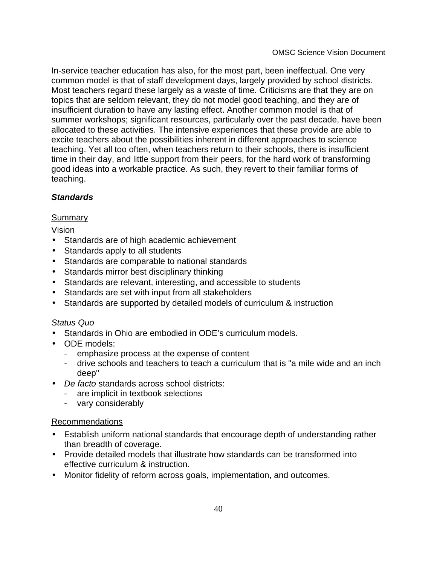In-service teacher education has also, for the most part, been ineffectual. One very common model is that of staff development days, largely provided by school districts. Most teachers regard these largely as a waste of time. Criticisms are that they are on topics that are seldom relevant, they do not model good teaching, and they are of insufficient duration to have any lasting effect. Another common model is that of summer workshops; significant resources, particularly over the past decade, have been allocated to these activities. The intensive experiences that these provide are able to excite teachers about the possibilities inherent in different approaches to science teaching. Yet all too often, when teachers return to their schools, there is insufficient time in their day, and little support from their peers, for the hard work of transforming good ideas into a workable practice. As such, they revert to their familiar forms of teaching.

# **Standards**

# Summary

# Vision

- Standards are of high academic achievement
- Standards apply to all students
- Standards are comparable to national standards
- Standards mirror best disciplinary thinking
- Standards are relevant, interesting, and accessible to students
- Standards are set with input from all stakeholders
- Standards are supported by detailed models of curriculum & instruction

# Status Quo

- Standards in Ohio are embodied in ODE's curriculum models.
- ODE models:
	- emphasize process at the expense of content
	- drive schools and teachers to teach a curriculum that is "a mile wide and an inch deep"
- De facto standards across school districts:
	- are implicit in textbook selections
	- vary considerably

# Recommendations

- Establish uniform national standards that encourage depth of understanding rather than breadth of coverage.
- Provide detailed models that illustrate how standards can be transformed into effective curriculum & instruction.
- Monitor fidelity of reform across goals, implementation, and outcomes.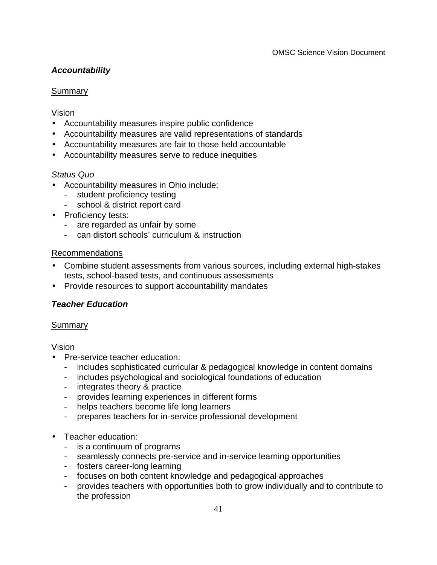# **Accountability**

# **Summary**

Vision

- Accountability measures inspire public confidence
- Accountability measures are valid representations of standards
- Accountability measures are fair to those held accountable
- Accountability measures serve to reduce inequities

# Status Quo

- Accountability measures in Ohio include:
	- student proficiency testing
	- school & district report card
- Proficiency tests:
	- are regarded as unfair by some
	- can distort schools' curriculum & instruction

# Recommendations

- Combine student assessments from various sources, including external high-stakes tests, school-based tests, and continuous assessments
- Provide resources to support accountability mandates

# **Teacher Education**

# **Summary**

Vision

- Pre-service teacher education:
	- includes sophisticated curricular & pedagogical knowledge in content domains
	- includes psychological and sociological foundations of education
	- integrates theory & practice
	- provides learning experiences in different forms
	- helps teachers become life long learners
	- prepares teachers for in-service professional development
- Teacher education:
	- is a continuum of programs
	- seamlessly connects pre-service and in-service learning opportunities
	- fosters career-long learning
	- focuses on both content knowledge and pedagogical approaches
	- provides teachers with opportunities both to grow individually and to contribute to the profession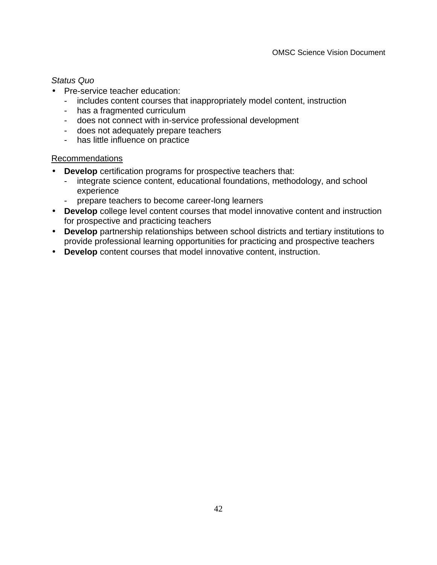#### Status Quo

- Pre-service teacher education:
	- includes content courses that inappropriately model content, instruction
	- has a fragmented curriculum
	- does not connect with in-service professional development
	- does not adequately prepare teachers
	- has little influence on practice

#### Recommendations

- **Develop** certification programs for prospective teachers that:
	- integrate science content, educational foundations, methodology, and school experience
	- prepare teachers to become career-long learners
- **Develop** college level content courses that model innovative content and instruction for prospective and practicing teachers
- **Develop** partnership relationships between school districts and tertiary institutions to provide professional learning opportunities for practicing and prospective teachers
- **Develop** content courses that model innovative content, instruction.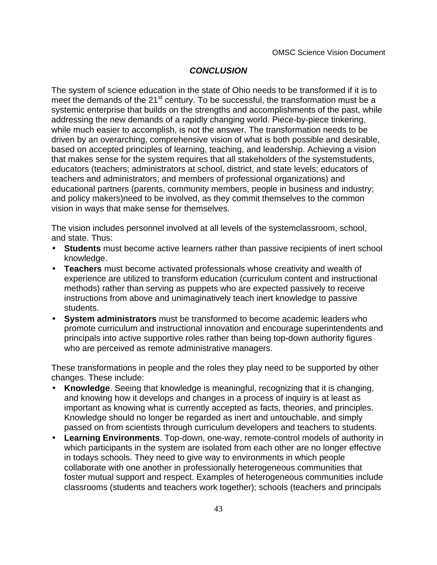# **CONCLUSION**

The system of science education in the state of Ohio needs to be transformed if it is to meet the demands of the 21<sup>st</sup> century. To be successful, the transformation must be a systemic enterprise that builds on the strengths and accomplishments of the past, while addressing the new demands of a rapidly changing world. Piece-by-piece tinkering, while much easier to accomplish, is not the answer. The transformation needs to be driven by an overarching, comprehensive vision of what is both possible and desirable, based on accepted principles of learning, teaching, and leadership. Achieving a vision that makes sense for the system requires that all stakeholders of the system Students, educators (teachers; administrators at school, district, and state levels; educators of teachers and administrators; and members of professional organizations) and educational partners (parents, community members, people in business and industry; and policy makers) Mated to be involved, as they commit themselves to the common vision in ways that make sense for themselves.

The vision includes personnel involved at all levels of the systemÑ lassroom, school, and state. Thus:

- **Students** must become active learners rather than passive recipients of inert school knowledge.
- **Teachers** must become activated professionals whose creativity and wealth of experience are utilized to transform education (curriculum content and instructional methods) rather than serving as puppets who are expected passively to receive instructions from ÔaboveÓ and unimaginatively teach inert knowledge to passive students.
- **System administrators** must be transformed to become academic leaders who promote curriculum and instructional innovation and encourage superintendents and principals into active supportive roles rather than being top-down authority figures who are perceived as remote administrative managers.

These transformations in people and the roles they play need to be supported by other changes. These include:

- • **Knowledge**. Seeing that knowledge is meaningful, recognizing that it is changing, and knowing how it develops and changes in a process of inquiry is at least as important as knowing what is currently accepted as facts, theories, and principles. Knowledge should no longer be regarded as inert and untouchable, and simply passed on from scientists through curriculum developers and teachers to students.
- **Learning Environments**. Top-down, one-way, remote-control models of authority in which participants in the system are isolated from each other are no longer effective in today G schools. They need to give way to environments in which people collaborate with one another in professionally heterogeneous communities that foster mutual support and respect. Examples of heterogeneous communities include classrooms (students and teachers work together); schools (teachers and principals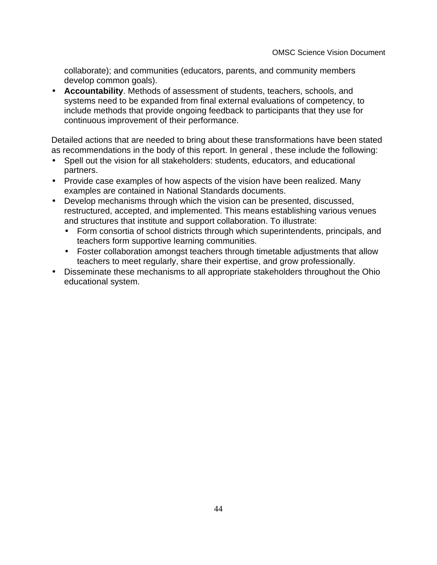collaborate); and communities (educators, parents, and community members develop common goals).

• **Accountability**. Methods of assessment of students, teachers, schools, and systems need to be expanded from final external evaluations of competency, to include methods that provide ongoing feedback to participants that they use for continuous improvement of their performance.

Detailed actions that are needed to bring about these transformations have been stated as recommendations in the body of this report. In general , these include the following:

- Spell out the vision for all stakeholders: students, educators, and educational partners.
- Provide case examples of how aspects of the vision have been realized. Many examples are contained in National Standards documents.
- Develop mechanisms through which the vision can be presented, discussed, restructured, accepted, and implemented. This means establishing various venues and structures that institute and support collaboration. To illustrate:
	- • Form consortia of school districts through which superintendents, principals, and teachers form supportive learning communities.
	- Foster collaboration amongst teachers through timetable adjustments that allow teachers to meet regularly, share their expertise, and grow professionally.
- Disseminate these mechanisms to all appropriate stakeholders throughout the Ohio educational system.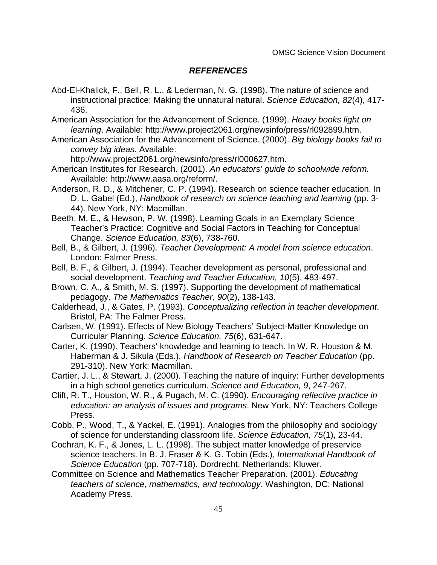#### **REFERENCES**

- Abd-El-Khalick, F., Bell, R. L., & Lederman, N. G. (1998). The nature of science and instructional practice: Making the unnatural natural. Science Education, 82(4), 417- 436.
- American Association for the Advancement of Science. (1999). Heavy books light on learning. Available: http://www.project2061.org/newsinfo/press/rl092899.htm.
- American Association for the Advancement of Science. (2000). Big biology books fail to convey big ideas. Available:

http://www.project2061.org/newsinfo/press/rl000627.htm.

- American Institutes for Research. (2001). An educators' guide to schoolwide reform. Available: http://www.aasa.org/reform/.
- Anderson, R. D., & Mitchener, C. P. (1994). Research on science teacher education. In D. L. Gabel (Ed.), Handbook of research on science teaching and learning (pp. 3- 44). New York, NY: Macmillan.
- Beeth, M. E., & Hewson, P. W. (1998). Learning Goals in an Exemplary Science Teacher's Practice: Cognitive and Social Factors in Teaching for Conceptual Change. Science Education, 83(6), 738-760.
- Bell, B., & Gilbert, J. (1996). Teacher Development: A model from science education. London: Falmer Press.
- Bell, B. F., & Gilbert, J. (1994). Teacher development as personal, professional and social development. Teaching and Teacher Education, 10(5), 483-497.
- Brown, C. A., & Smith, M. S. (1997). Supporting the development of mathematical pedagogy. The Mathematics Teacher, 90(2), 138-143.
- Calderhead, J., & Gates, P. (1993). Conceptualizing reflection in teacher development. Bristol, PA: The Falmer Press.
- Carlsen, W. (1991). Effects of New Biology Teachers' Subject-Matter Knowledge on Curricular Planning. Science Education, 75(6), 631-647.
- Carter, K. (1990). Teachers' knowledge and learning to teach. In W. R. Houston & M. Haberman & J. Sikula (Eds.), Handbook of Research on Teacher Education (pp. 291-310). New York: Macmillan.
- Cartier, J. L., & Stewart, J. (2000). Teaching the nature of inquiry: Further developments in a high school genetics curriculum. Science and Education, 9, 247-267.
- Clift, R. T., Houston, W. R., & Pugach, M. C. (1990). Encouraging reflective practice in education: an analysis of issues and programs. New York, NY: Teachers College Press.
- Cobb, P., Wood, T., & Yackel, E. (1991). Analogies from the philosophy and sociology of science for understanding classroom life. Science Education, 75(1), 23-44.
- Cochran, K. F., & Jones, L. L. (1998). The subject matter knowledge of preservice science teachers. In B. J. Fraser & K. G. Tobin (Eds.), International Handbook of Science Education (pp. 707-718). Dordrecht, Netherlands: Kluwer.
- Committee on Science and Mathematics Teacher Preparation. (2001). Educating teachers of science, mathematics, and technology. Washington, DC: National Academy Press.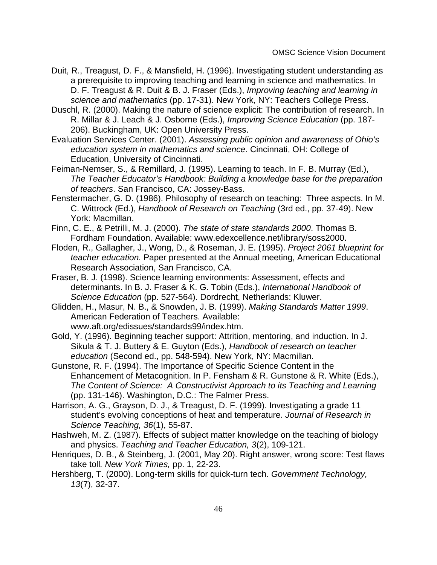- Duit, R., Treagust, D. F., & Mansfield, H. (1996). Investigating student understanding as a prerequisite to improving teaching and learning in science and mathematics. In D. F. Treagust & R. Duit & B. J. Fraser (Eds.), Improving teaching and learning in science and mathematics (pp. 17-31). New York, NY: Teachers College Press.
- Duschl, R. (2000). Making the nature of science explicit: The contribution of research. In R. Millar & J. Leach & J. Osborne (Eds.), Improving Science Education (pp. 187- 206). Buckingham, UK: Open University Press.
- Evaluation Services Center. (2001). Assessing public opinion and awareness of Ohio's education system in mathematics and science. Cincinnati, OH: College of Education, University of Cincinnati.
- Feiman-Nemser, S., & Remillard, J. (1995). Learning to teach. In F. B. Murray (Ed.), The Teacher Educator's Handbook: Building a knowledge base for the preparation of teachers. San Francisco, CA: Jossey-Bass.
- Fenstermacher, G. D. (1986). Philosophy of research on teaching: Three aspects. In M. C. Wittrock (Ed.), Handbook of Research on Teaching (3rd ed., pp. 37-49). New York: Macmillan.
- Finn, C. E., & Petrilli, M. J. (2000). The state of state standards 2000. Thomas B. Fordham Foundation. Available: www.edexcellence.net/library/soss2000.
- Floden, R., Gallagher, J., Wong, D., & Roseman, J. E. (1995). Project 2061 blueprint for teacher education. Paper presented at the Annual meeting, American Educational Research Association, San Francisco, CA.
- Fraser, B. J. (1998). Science learning environments: Assessment, effects and determinants. In B. J. Fraser & K. G. Tobin (Eds.), International Handbook of Science Education (pp. 527-564). Dordrecht, Netherlands: Kluwer.
- Glidden, H., Masur, N. B., & Snowden, J. B. (1999). Making Standards Matter 1999. American Federation of Teachers. Available:

www.aft.org/edissues/standards99/index.htm.

- Gold, Y. (1996). Beginning teacher support: Attrition, mentoring, and induction. In J. Sikula & T. J. Buttery & E. Guyton (Eds.), Handbook of research on teacher education (Second ed., pp. 548-594). New York, NY: Macmillan.
- Gunstone, R. F. (1994). The Importance of Specific Science Content in the Enhancement of Metacognition. In P. Fensham & R. Gunstone & R. White (Eds.), The Content of Science: A Constructivist Approach to its Teaching and Learning (pp. 131-146). Washington, D.C.: The Falmer Press.
- Harrison, A. G., Grayson, D. J., & Treagust, D. F. (1999). Investigating a grade 11 student's evolving conceptions of heat and temperature. Journal of Research in Science Teaching, 36(1), 55-87.
- Hashweh, M. Z. (1987). Effects of subject matter knowledge on the teaching of biology and physics. Teaching and Teacher Education, 3(2), 109-121.
- Henriques, D. B., & Steinberg, J. (2001, May 20). Right answer, wrong score: Test flaws take toll. New York Times, pp. 1, 22-23.
- Hershberg, T. (2000). Long-term skills for quick-turn tech. Government Technology, 13(7), 32-37.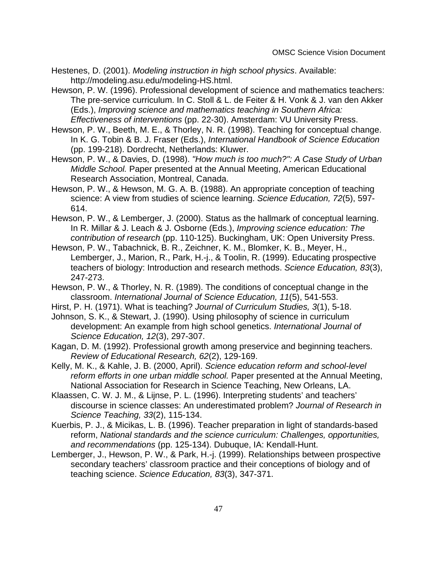Hestenes, D. (2001). Modeling instruction in high school physics. Available: http://modeling.asu.edu/modeling-HS.html.

Hewson, P. W. (1996). Professional development of science and mathematics teachers: The pre-service curriculum. In C. Stoll & L. de Feiter & H. Vonk & J. van den Akker (Eds.), Improving science and mathematics teaching in Southern Africa: Effectiveness of interventions (pp. 22-30). Amsterdam: VU University Press.

Hewson, P. W., Beeth, M. E., & Thorley, N. R. (1998). Teaching for conceptual change. In K. G. Tobin & B. J. Fraser (Eds.), International Handbook of Science Education (pp. 199-218). Dordrecht, Netherlands: Kluwer.

Hewson, P. W., & Davies, D. (1998). "How much is too much?": A Case Study of Urban Middle School. Paper presented at the Annual Meeting, American Educational Research Association, Montreal, Canada.

Hewson, P. W., & Hewson, M. G. A. B. (1988). An appropriate conception of teaching science: A view from studies of science learning. Science Education, 72(5), 597- 614.

Hewson, P. W., & Lemberger, J. (2000). Status as the hallmark of conceptual learning. In R. Millar & J. Leach & J. Osborne (Eds.), Improving science education: The contribution of research (pp. 110-125). Buckingham, UK: Open University Press.

Hewson, P. W., Tabachnick, B. R., Zeichner, K. M., Blomker, K. B., Meyer, H., Lemberger, J., Marion, R., Park, H.-j., & Toolin, R. (1999). Educating prospective teachers of biology: Introduction and research methods. Science Education, 83(3), 247-273.

Hewson, P. W., & Thorley, N. R. (1989). The conditions of conceptual change in the classroom. International Journal of Science Education, 11(5), 541-553.

Hirst, P. H. (1971). What is teaching? Journal of Curriculum Studies, 3(1), 5-18.

Johnson, S. K., & Stewart, J. (1990). Using philosophy of science in curriculum development: An example from high school genetics. International Journal of Science Education, 12(3), 297-307.

Kagan, D. M. (1992). Professional growth among preservice and beginning teachers. Review of Educational Research, 62(2), 129-169.

Kelly, M. K., & Kahle, J. B. (2000, April). Science education reform and school-level reform efforts in one urban middle school. Paper presented at the Annual Meeting, National Association for Research in Science Teaching, New Orleans, LA.

Klaassen, C. W. J. M., & Lijnse, P. L. (1996). Interpreting students' and teachers' discourse in science classes: An underestimated problem? Journal of Research in Science Teaching, 33(2), 115-134.

Kuerbis, P. J., & Micikas, L. B. (1996). Teacher preparation in light of standards-based reform, National standards and the science curriculum: Challenges, opportunities, and recommendations (pp. 125-134). Dubuque, IA: Kendall-Hunt.

Lemberger, J., Hewson, P. W., & Park, H.-j. (1999). Relationships between prospective secondary teachers' classroom practice and their conceptions of biology and of teaching science. Science Education, 83(3), 347-371.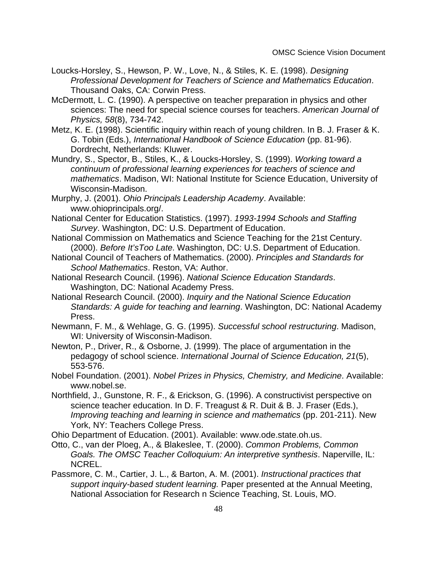- Loucks-Horsley, S., Hewson, P. W., Love, N., & Stiles, K. E. (1998). Designing Professional Development for Teachers of Science and Mathematics Education. Thousand Oaks, CA: Corwin Press.
- McDermott, L. C. (1990). A perspective on teacher preparation in physics and other sciences: The need for special science courses for teachers. American Journal of Physics, 58(8), 734-742.
- Metz, K. E. (1998). Scientific inquiry within reach of young children. In B. J. Fraser & K. G. Tobin (Eds.), International Handbook of Science Education (pp. 81-96). Dordrecht, Netherlands: Kluwer.
- Mundry, S., Spector, B., Stiles, K., & Loucks-Horsley, S. (1999). Working toward a continuum of professional learning experiences for teachers of science and mathematics. Madison, WI: National Institute for Science Education, University of Wisconsin-Madison.
- Murphy, J. (2001). Ohio Principals Leadership Academy. Available: www.ohioprincipals.org/.
- National Center for Education Statistics. (1997). 1993-1994 Schools and Staffing Survey. Washington, DC: U.S. Department of Education.
- National Commission on Mathematics and Science Teaching for the 21st Century. (2000). Before It'sToo Late. Washington, DC: U.S. Department of Education.
- National Council of Teachers of Mathematics. (2000). Principles and Standards for School Mathematics. Reston, VA: Author.
- National Research Council. (1996). National Science Education Standards. Washington, DC: National Academy Press.
- National Research Council. (2000). Inquiry and the National Science Education Standards: A guide for teaching and learning. Washington, DC: National Academy Press.
- Newmann, F. M., & Wehlage, G. G. (1995). Successful school restructuring. Madison, WI: University of Wisconsin-Madison.
- Newton, P., Driver, R., & Osborne, J. (1999). The place of argumentation in the pedagogy of school science. International Journal of Science Education, 21(5), 553-576.
- Nobel Foundation. (2001). Nobel Prizes in Physics, Chemistry, and Medicine. Available: www.nobel.se.
- Northfield, J., Gunstone, R. F., & Erickson, G. (1996). A constructivist perspective on science teacher education. In D. F. Treagust & R. Duit & B. J. Fraser (Eds.), Improving teaching and learning in science and mathematics (pp. 201-211). New York, NY: Teachers College Press.
- Ohio Department of Education. (2001). Available: www.ode.state.oh.us.
- Otto, C., van der Ploeg, A., & Blakeslee, T. (2000). Common Problems, Common Goals. The OMSC Teacher Colloquium: An interpretive synthesis. Naperville, IL: NCREL.
- Passmore, C. M., Cartier, J. L., & Barton, A. M. (2001). Instructional practices that support inquiry-based student learning. Paper presented at the Annual Meeting, National Association for Research n Science Teaching, St. Louis, MO.